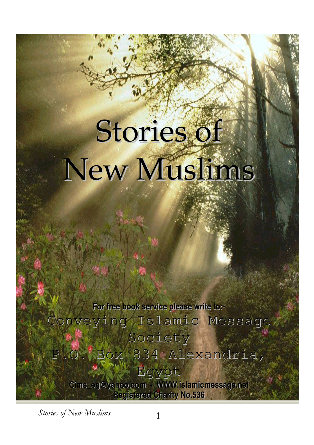# Stories of New Muslims

**For free book service please write to:-** Conveying Islamic Message Society P.O. Box 834 Alexandria, Egypt **Cims\_eg@yahoo.com - WWW.islamicmessage.net Registered Charity No.536**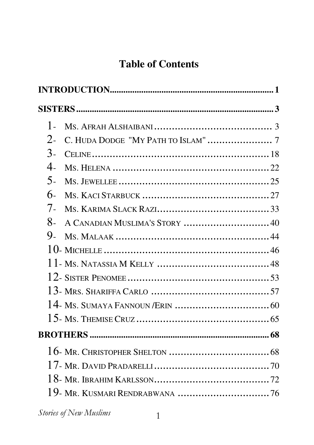#### **Table of Contents**

| $2 -$                       | C. HUDA DODGE "MY PATH TO ISLAM"  7 |  |
|-----------------------------|-------------------------------------|--|
| $\mathcal{E}_{\mathcal{F}}$ |                                     |  |
| $\overline{4}$              |                                     |  |
| $5-$                        |                                     |  |
| $6-$                        |                                     |  |
| $7-$                        |                                     |  |
| 8-                          |                                     |  |
| 9.                          |                                     |  |
|                             |                                     |  |
|                             |                                     |  |
|                             |                                     |  |
|                             |                                     |  |
|                             |                                     |  |
|                             |                                     |  |
|                             |                                     |  |
|                             |                                     |  |
|                             |                                     |  |
|                             |                                     |  |
|                             |                                     |  |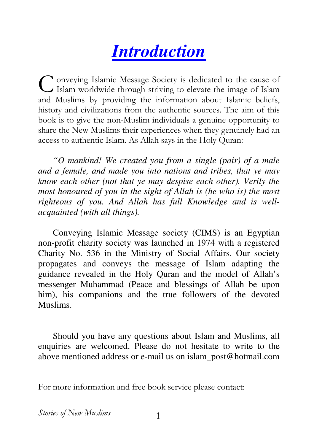## *Introduction*

C onveying Islamic Message Society is dedicated to the cause of Islam worldwide through striving to elevate the image of Islam Islam worldwide through striving to elevate the image of Islam and Muslims by providing the information about Islamic beliefs, history and civilizations from the authentic sources. The aim of this book is to give the non-Muslim individuals a genuine opportunity to share the New Muslims their experiences when they genuinely had an access to authentic Islam. As Allah says in the Holy Quran:

*"O mankind! We created you from a single (pair) of a male and a female, and made you into nations and tribes, that ye may know each other (not that ye may despise each other). Verily the most honoured of you in the sight of Allah is (he who is) the most righteous of you. And Allah has full Knowledge and is wellacquainted (with all things).* 

Conveying Islamic Message society (CIMS) is an Egyptian non-profit charity society was launched in 1974 with a registered Charity No. 536 in the Ministry of Social Affairs. Our society propagates and conveys the message of Islam adapting the guidance revealed in the Holy Quran and the model of Allah's messenger Muhammad (Peace and blessings of Allah be upon him), his companions and the true followers of the devoted Muslims.

Should you have any questions about Islam and Muslims, all enquiries are welcomed. Please do not hesitate to write to the above mentioned address or e-mail us on islam\_post@hotmail.com

For more information and free book service please contact: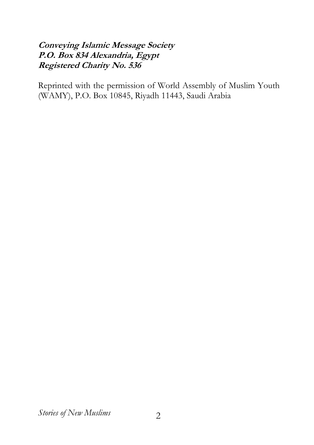#### Conveying Islamic Message Society P.O. Box 834 Alexandria, Egypt Registered Charity No. 536

Reprinted with the permission of World Assembly of Muslim Youth (WAMY), P.O. Box 10845, Riyadh 11443, Saudi Arabia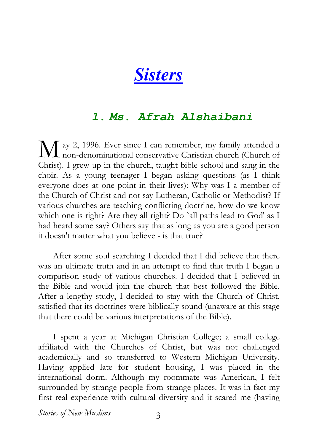### *Sisters*

#### **1. Ms. Afrah Alshaibani**

M ay 2, 1996. Ever since I can remember, my family attended a non-denominational conservative Christian church (Church of  $\perp$  non-denominational conservative Christian church (Church of Christ). I grew up in the church, taught bible school and sang in the choir. As a young teenager I began asking questions (as I think everyone does at one point in their lives): Why was I a member of the Church of Christ and not say Lutheran, Catholic or Methodist? If various churches are teaching conflicting doctrine, how do we know which one is right? Are they all right? Do `all paths lead to God' as I had heard some say? Others say that as long as you are a good person it doesn't matter what you believe - is that true?

After some soul searching I decided that I did believe that there was an ultimate truth and in an attempt to find that truth I began a comparison study of various churches. I decided that I believed in the Bible and would join the church that best followed the Bible. After a lengthy study, I decided to stay with the Church of Christ, satisfied that its doctrines were biblically sound (unaware at this stage that there could be various interpretations of the Bible).

I spent a year at Michigan Christian College; a small college affiliated with the Churches of Christ, but was not challenged academically and so transferred to Western Michigan University. Having applied late for student housing, I was placed in the international dorm. Although my roommate was American, I felt surrounded by strange people from strange places. It was in fact my first real experience with cultural diversity and it scared me (having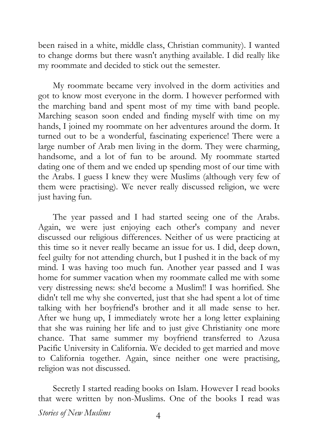been raised in a white, middle class, Christian community). I wanted to change dorms but there wasn't anything available. I did really like my roommate and decided to stick out the semester.

My roommate became very involved in the dorm activities and got to know most everyone in the dorm. I however performed with the marching band and spent most of my time with band people. Marching season soon ended and finding myself with time on my hands, I joined my roommate on her adventures around the dorm. It turned out to be a wonderful, fascinating experience! There were a large number of Arab men living in the dorm. They were charming, handsome, and a lot of fun to be around. My roommate started dating one of them and we ended up spending most of our time with the Arabs. I guess I knew they were Muslims (although very few of them were practising). We never really discussed religion, we were just having fun.

The year passed and I had started seeing one of the Arabs. Again, we were just enjoying each other's company and never discussed our religious differences. Neither of us were practicing at this time so it never really became an issue for us. I did, deep down, feel guilty for not attending church, but I pushed it in the back of my mind. I was having too much fun. Another year passed and I was home for summer vacation when my roommate called me with some very distressing news: she'd become a Muslim!! I was horrified. She didn't tell me why she converted, just that she had spent a lot of time talking with her boyfriend's brother and it all made sense to her. After we hung up, I immediately wrote her a long letter explaining that she was ruining her life and to just give Christianity one more chance. That same summer my boyfriend transferred to Azusa Pacific University in California. We decided to get married and move to California together. Again, since neither one were practising, religion was not discussed.

Secretly I started reading books on Islam. However I read books that were written by non-Muslims. One of the books I read was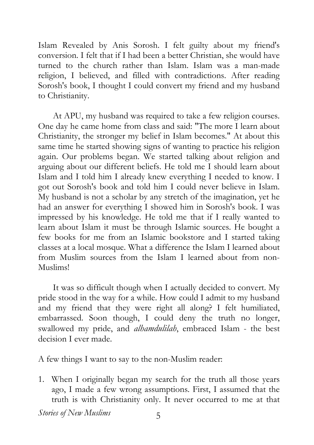Islam Revealed by Anis Sorosh. I felt guilty about my friend's conversion. I felt that if I had been a better Christian, she would have turned to the church rather than Islam. Islam was a man-made religion, I believed, and filled with contradictions. After reading Sorosh's book, I thought I could convert my friend and my husband to Christianity.

At APU, my husband was required to take a few religion courses. One day he came home from class and said: "The more I learn about Christianity, the stronger my belief in Islam becomes." At about this same time he started showing signs of wanting to practice his religion again. Our problems began. We started talking about religion and arguing about our different beliefs. He told me I should learn about Islam and I told him I already knew everything I needed to know. I got out Sorosh's book and told him I could never believe in Islam. My husband is not a scholar by any stretch of the imagination, yet he had an answer for everything I showed him in Sorosh's book. I was impressed by his knowledge. He told me that if I really wanted to learn about Islam it must be through Islamic sources. He bought a few books for me from an Islamic bookstore and I started taking classes at a local mosque. What a difference the Islam I learned about from Muslim sources from the Islam I learned about from non-Muslims!

It was so difficult though when I actually decided to convert. My pride stood in the way for a while. How could I admit to my husband and my friend that they were right all along? I felt humiliated, embarrassed. Soon though, I could deny the truth no longer, swallowed my pride, and *alhamdulilah*, embraced Islam - the best decision I ever made.

A few things I want to say to the non-Muslim reader:

1. When I originally began my search for the truth all those years ago, I made a few wrong assumptions. First, I assumed that the truth is with Christianity only. It never occurred to me at that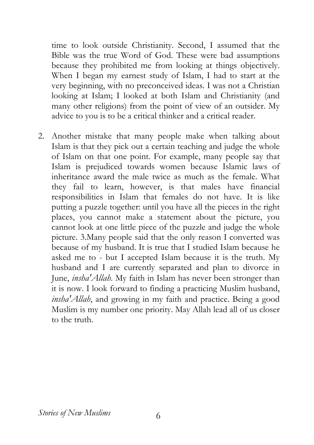time to look outside Christianity. Second, I assumed that the Bible was the true Word of God. These were bad assumptions because they prohibited me from looking at things objectively. When I began my earnest study of Islam, I had to start at the very beginning, with no preconceived ideas. I was not a Christian looking at Islam; I looked at both Islam and Christianity (and many other religions) from the point of view of an outsider. My advice to you is to be a critical thinker and a critical reader.

2. Another mistake that many people make when talking about Islam is that they pick out a certain teaching and judge the whole of Islam on that one point. For example, many people say that Islam is prejudiced towards women because Islamic laws of inheritance award the male twice as much as the female. What they fail to learn, however, is that males have financial responsibilities in Islam that females do not have. It is like putting a puzzle together: until you have all the pieces in the right places, you cannot make a statement about the picture, you cannot look at one little piece of the puzzle and judge the whole picture. 3.Many people said that the only reason I converted was because of my husband. It is true that I studied Islam because he asked me to - but I accepted Islam because it is the truth. My husband and I are currently separated and plan to divorce in June, insha'Allah. My faith in Islam has never been stronger than it is now. I look forward to finding a practicing Muslim husband, insha'Allah, and growing in my faith and practice. Being a good Muslim is my number one priority. May Allah lead all of us closer to the truth.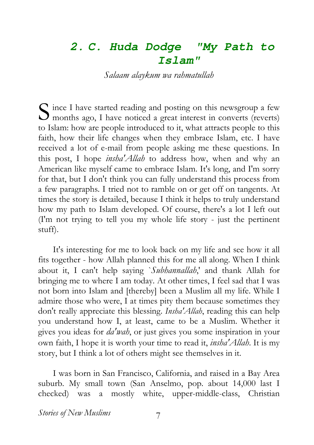#### **2. C. Huda Dodge "My Path to Islam"**

Salaam alaykum wa rahmatullah

 $\sum$  ince I have started reading and posting on this newsgroup a few S ince I have started reading and posting on this newsgroup a few months ago, I have noticed a great interest in converts (reverts) to Islam: how are people introduced to it, what attracts people to this faith, how their life changes when they embrace Islam, etc. I have received a lot of e-mail from people asking me these questions. In this post, I hope *insha'Allah* to address how, when and why an American like myself came to embrace Islam. It's long, and I'm sorry for that, but I don't think you can fully understand this process from a few paragraphs. I tried not to ramble on or get off on tangents. At times the story is detailed, because I think it helps to truly understand how my path to Islam developed. Of course, there's a lot I left out (I'm not trying to tell you my whole life story - just the pertinent stuff).

It's interesting for me to look back on my life and see how it all fits together - how Allah planned this for me all along. When I think about it, I can't help saying `Subhannallah,' and thank Allah for bringing me to where I am today. At other times, I feel sad that I was not born into Islam and [thereby] been a Muslim all my life. While I admire those who were, I at times pity them because sometimes they don't really appreciate this blessing. Insha'Allah, reading this can help you understand how I, at least, came to be a Muslim. Whether it gives you ideas for *da'wah*, or just gives you some inspiration in your own faith, I hope it is worth your time to read it, *insha'Allah*. It is my story, but I think a lot of others might see themselves in it.

I was born in San Francisco, California, and raised in a Bay Area suburb. My small town (San Anselmo, pop. about 14,000 last I checked) was a mostly white, upper-middle-class, Christian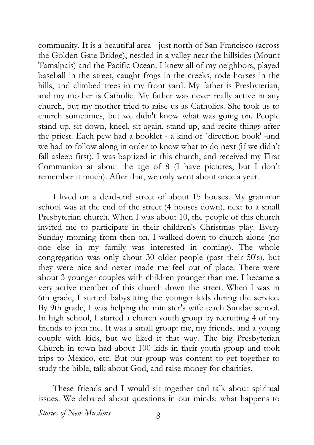community. It is a beautiful area - just north of San Francisco (across the Golden Gate Bridge), nestled in a valley near the hillsides (Mount Tamalpais) and the Pacific Ocean. I knew all of my neighbors, played baseball in the street, caught frogs in the creeks, rode horses in the hills, and climbed trees in my front yard. My father is Presbyterian, and my mother is Catholic. My father was never really active in any church, but my mother tried to raise us as Catholics. She took us to church sometimes, but we didn't know what was going on. People stand up, sit down, kneel, sit again, stand up, and recite things after the priest. Each pew had a booklet - a kind of `direction book' -and we had to follow along in order to know what to do next (if we didn't fall asleep first). I was baptized in this church, and received my First Communion at about the age of 8 (I have pictures, but I don't remember it much). After that, we only went about once a year.

I lived on a dead-end street of about 15 houses. My grammar school was at the end of the street (4 houses down), next to a small Presbyterian church. When I was about 10, the people of this church invited me to participate in their children's Christmas play. Every Sunday morning from then on, I walked down to church alone (no one else in my family was interested in coming). The whole congregation was only about 30 older people (past their 50's), but they were nice and never made me feel out of place. There were about 3 younger couples with children younger than me. I became a very active member of this church down the street. When I was in 6th grade, I started babysitting the younger kids during the service. By 9th grade, I was helping the minister's wife teach Sunday school. In high school, I started a church youth group by recruiting 4 of my friends to join me. It was a small group: me, my friends, and a young couple with kids, but we liked it that way. The big Presbyterian Church in town had about 100 kids in their youth group and took trips to Mexico, etc. But our group was content to get together to study the bible, talk about God, and raise money for charities.

These friends and I would sit together and talk about spiritual issues. We debated about questions in our minds: what happens to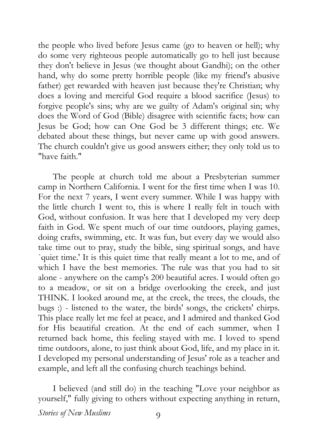the people who lived before Jesus came (go to heaven or hell); why do some very righteous people automatically go to hell just because they don't believe in Jesus (we thought about Gandhi); on the other hand, why do some pretty horrible people (like my friend's abusive father) get rewarded with heaven just because they're Christian; why does a loving and merciful God require a blood sacrifice (Jesus) to forgive people's sins; why are we guilty of Adam's original sin; why does the Word of God (Bible) disagree with scientific facts; how can Jesus be God; how can One God be 3 different things; etc. We debated about these things, but never came up with good answers. The church couldn't give us good answers either; they only told us to "have faith."

The people at church told me about a Presbyterian summer camp in Northern California. I went for the first time when I was 10. For the next 7 years, I went every summer. While I was happy with the little church I went to, this is where I really felt in touch with God, without confusion. It was here that I developed my very deep faith in God. We spent much of our time outdoors, playing games, doing crafts, swimming, etc. It was fun, but every day we would also take time out to pray, study the bible, sing spiritual songs, and have `quiet time.' It is this quiet time that really meant a lot to me, and of which I have the best memories. The rule was that you had to sit alone - anywhere on the camp's 200 beautiful acres. I would often go to a meadow, or sit on a bridge overlooking the creek, and just THINK. I looked around me, at the creek, the trees, the clouds, the bugs :) - listened to the water, the birds' songs, the crickets' chirps. This place really let me feel at peace, and I admired and thanked God for His beautiful creation. At the end of each summer, when I returned back home, this feeling stayed with me. I loved to spend time outdoors, alone, to just think about God, life, and my place in it. I developed my personal understanding of Jesus' role as a teacher and example, and left all the confusing church teachings behind.

I believed (and still do) in the teaching "Love your neighbor as yourself," fully giving to others without expecting anything in return,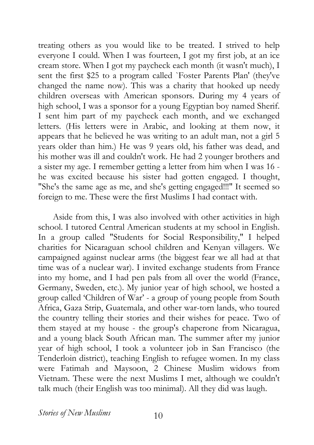treating others as you would like to be treated. I strived to help everyone I could. When I was fourteen, I got my first job, at an ice cream store. When I got my paycheck each month (it wasn't much), I sent the first \$25 to a program called `Foster Parents Plan' (they've changed the name now). This was a charity that hooked up needy children overseas with American sponsors. During my 4 years of high school, I was a sponsor for a young Egyptian boy named Sherif. I sent him part of my paycheck each month, and we exchanged letters. (His letters were in Arabic, and looking at them now, it appears that he believed he was writing to an adult man, not a girl 5 years older than him.) He was 9 years old, his father was dead, and his mother was ill and couldn't work. He had 2 younger brothers and a sister my age. I remember getting a letter from him when I was 16 he was excited because his sister had gotten engaged. I thought, "She's the same age as me, and she's getting engaged!!!" It seemed so foreign to me. These were the first Muslims I had contact with.

Aside from this, I was also involved with other activities in high school. I tutored Central American students at my school in English. In a group called "Students for Social Responsibility," I helped charities for Nicaraguan school children and Kenyan villagers. We campaigned against nuclear arms (the biggest fear we all had at that time was of a nuclear war). I invited exchange students from France into my home, and I had pen pals from all over the world (France, Germany, Sweden, etc.). My junior year of high school, we hosted a group called 'Children of War' - a group of young people from South Africa, Gaza Strip, Guatemala, and other war-torn lands, who toured the country telling their stories and their wishes for peace. Two of them stayed at my house - the group's chaperone from Nicaragua, and a young black South African man. The summer after my junior year of high school, I took a volunteer job in San Francisco (the Tenderloin district), teaching English to refugee women. In my class were Fatimah and Maysoon, 2 Chinese Muslim widows from Vietnam. These were the next Muslims I met, although we couldn't talk much (their English was too minimal). All they did was laugh.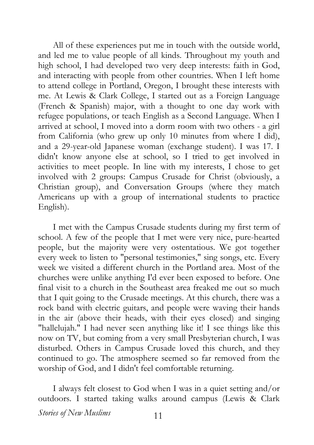All of these experiences put me in touch with the outside world, and led me to value people of all kinds. Throughout my youth and high school, I had developed two very deep interests: faith in God, and interacting with people from other countries. When I left home to attend college in Portland, Oregon, I brought these interests with me. At Lewis & Clark College, I started out as a Foreign Language (French & Spanish) major, with a thought to one day work with refugee populations, or teach English as a Second Language. When I arrived at school, I moved into a dorm room with two others - a girl from California (who grew up only 10 minutes from where I did), and a 29-year-old Japanese woman (exchange student). I was 17. I didn't know anyone else at school, so I tried to get involved in activities to meet people. In line with my interests, I chose to get involved with 2 groups: Campus Crusade for Christ (obviously, a Christian group), and Conversation Groups (where they match Americans up with a group of international students to practice English).

I met with the Campus Crusade students during my first term of school. A few of the people that I met were very nice, pure-hearted people, but the majority were very ostentatious. We got together every week to listen to "personal testimonies," sing songs, etc. Every week we visited a different church in the Portland area. Most of the churches were unlike anything I'd ever been exposed to before. One final visit to a church in the Southeast area freaked me out so much that I quit going to the Crusade meetings. At this church, there was a rock band with electric guitars, and people were waving their hands in the air (above their heads, with their eyes closed) and singing "hallelujah." I had never seen anything like it! I see things like this now on TV, but coming from a very small Presbyterian church, I was disturbed. Others in Campus Crusade loved this church, and they continued to go. The atmosphere seemed so far removed from the worship of God, and I didn't feel comfortable returning.

I always felt closest to God when I was in a quiet setting and/or outdoors. I started taking walks around campus (Lewis & Clark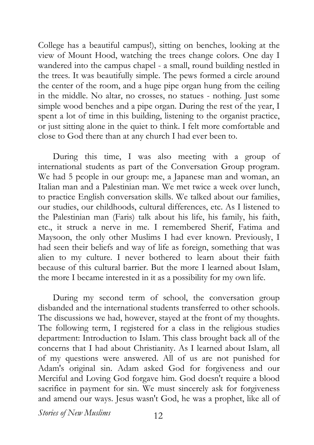College has a beautiful campus!), sitting on benches, looking at the view of Mount Hood, watching the trees change colors. One day I wandered into the campus chapel - a small, round building nestled in the trees. It was beautifully simple. The pews formed a circle around the center of the room, and a huge pipe organ hung from the ceiling in the middle. No altar, no crosses, no statues - nothing. Just some simple wood benches and a pipe organ. During the rest of the year, I spent a lot of time in this building, listening to the organist practice, or just sitting alone in the quiet to think. I felt more comfortable and close to God there than at any church I had ever been to.

During this time, I was also meeting with a group of international students as part of the Conversation Group program. We had 5 people in our group: me, a Japanese man and woman, an Italian man and a Palestinian man. We met twice a week over lunch, to practice English conversation skills. We talked about our families, our studies, our childhoods, cultural differences, etc. As I listened to the Palestinian man (Faris) talk about his life, his family, his faith, etc., it struck a nerve in me. I remembered Sherif, Fatima and Maysoon, the only other Muslims I had ever known. Previously, I had seen their beliefs and way of life as foreign, something that was alien to my culture. I never bothered to learn about their faith because of this cultural barrier. But the more I learned about Islam, the more I became interested in it as a possibility for my own life.

During my second term of school, the conversation group disbanded and the international students transferred to other schools. The discussions we had, however, stayed at the front of my thoughts. The following term, I registered for a class in the religious studies department: Introduction to Islam. This class brought back all of the concerns that I had about Christianity. As I learned about Islam, all of my questions were answered. All of us are not punished for Adam's original sin. Adam asked God for forgiveness and our Merciful and Loving God forgave him. God doesn't require a blood sacrifice in payment for sin. We must sincerely ask for forgiveness and amend our ways. Jesus wasn't God, he was a prophet, like all of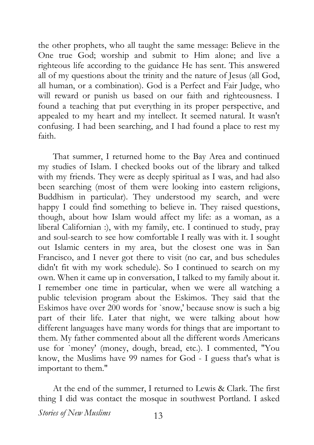the other prophets, who all taught the same message: Believe in the One true God; worship and submit to Him alone; and live a righteous life according to the guidance He has sent. This answered all of my questions about the trinity and the nature of Jesus (all God, all human, or a combination). God is a Perfect and Fair Judge, who will reward or punish us based on our faith and righteousness. I found a teaching that put everything in its proper perspective, and appealed to my heart and my intellect. It seemed natural. It wasn't confusing. I had been searching, and I had found a place to rest my faith.

That summer, I returned home to the Bay Area and continued my studies of Islam. I checked books out of the library and talked with my friends. They were as deeply spiritual as I was, and had also been searching (most of them were looking into eastern religions, Buddhism in particular). They understood my search, and were happy I could find something to believe in. They raised questions, though, about how Islam would affect my life: as a woman, as a liberal Californian :), with my family, etc. I continued to study, pray and soul-search to see how comfortable I really was with it. I sought out Islamic centers in my area, but the closest one was in San Francisco, and I never got there to visit (no car, and bus schedules didn't fit with my work schedule). So I continued to search on my own. When it came up in conversation, I talked to my family about it. I remember one time in particular, when we were all watching a public television program about the Eskimos. They said that the Eskimos have over 200 words for `snow,' because snow is such a big part of their life. Later that night, we were talking about how different languages have many words for things that are important to them. My father commented about all the different words Americans use for `money' (money, dough, bread, etc.). I commented, "You know, the Muslims have 99 names for God - I guess that's what is important to them."

At the end of the summer, I returned to Lewis & Clark. The first thing I did was contact the mosque in southwest Portland. I asked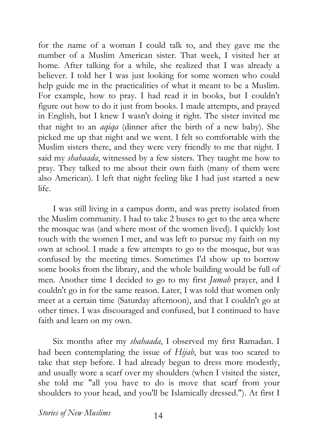for the name of a woman I could talk to, and they gave me the number of a Muslim American sister. That week, I visited her at home. After talking for a while, she realized that I was already a believer. I told her I was just looking for some women who could help guide me in the practicalities of what it meant to be a Muslim. For example, how to pray. I had read it in books, but I couldn't figure out how to do it just from books. I made attempts, and prayed in English, but I knew I wasn't doing it right. The sister invited me that night to an aqiqa (dinner after the birth of a new baby). She picked me up that night and we went. I felt so comfortable with the Muslim sisters there, and they were very friendly to me that night. I said my *shahaada*, witnessed by a few sisters. They taught me how to pray. They talked to me about their own faith (many of them were also American). I left that night feeling like I had just started a new life.

I was still living in a campus dorm, and was pretty isolated from the Muslim community. I had to take 2 buses to get to the area where the mosque was (and where most of the women lived). I quickly lost touch with the women I met, and was left to pursue my faith on my own at school. I made a few attempts to go to the mosque, but was confused by the meeting times. Sometimes I'd show up to borrow some books from the library, and the whole building would be full of men. Another time I decided to go to my first Jumah prayer, and I couldn't go in for the same reason. Later, I was told that women only meet at a certain time (Saturday afternoon), and that I couldn't go at other times. I was discouraged and confused, but I continued to have faith and learn on my own.

Six months after my *shahaada*, I observed my first Ramadan. I had been contemplating the issue of *Hijab*, but was too scared to take that step before. I had already begun to dress more modestly, and usually wore a scarf over my shoulders (when I visited the sister, she told me "all you have to do is move that scarf from your shoulders to your head, and you'll be Islamically dressed."). At first I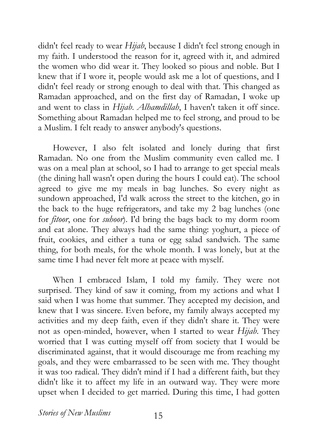didn't feel ready to wear Hijab, because I didn't feel strong enough in my faith. I understood the reason for it, agreed with it, and admired the women who did wear it. They looked so pious and noble. But I knew that if I wore it, people would ask me a lot of questions, and I didn't feel ready or strong enough to deal with that. This changed as Ramadan approached, and on the first day of Ramadan, I woke up and went to class in Hijab. Alhamdillah, I haven't taken it off since. Something about Ramadan helped me to feel strong, and proud to be a Muslim. I felt ready to answer anybody's questions.

However, I also felt isolated and lonely during that first Ramadan. No one from the Muslim community even called me. I was on a meal plan at school, so I had to arrange to get special meals (the dining hall wasn't open during the hours I could eat). The school agreed to give me my meals in bag lunches. So every night as sundown approached, I'd walk across the street to the kitchen, go in the back to the huge refrigerators, and take my 2 bag lunches (one for fitoor, one for suhoor). I'd bring the bags back to my dorm room and eat alone. They always had the same thing: yoghurt, a piece of fruit, cookies, and either a tuna or egg salad sandwich. The same thing, for both meals, for the whole month. I was lonely, but at the same time I had never felt more at peace with myself.

When I embraced Islam, I told my family. They were not surprised. They kind of saw it coming, from my actions and what I said when I was home that summer. They accepted my decision, and knew that I was sincere. Even before, my family always accepted my activities and my deep faith, even if they didn't share it. They were not as open-minded, however, when I started to wear Hijab. They worried that I was cutting myself off from society that I would be discriminated against, that it would discourage me from reaching my goals, and they were embarrassed to be seen with me. They thought it was too radical. They didn't mind if I had a different faith, but they didn't like it to affect my life in an outward way. They were more upset when I decided to get married. During this time, I had gotten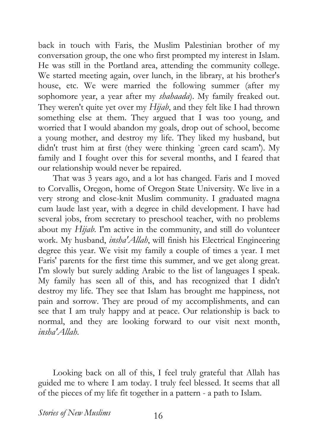back in touch with Faris, the Muslim Palestinian brother of my conversation group, the one who first prompted my interest in Islam. He was still in the Portland area, attending the community college. We started meeting again, over lunch, in the library, at his brother's house, etc. We were married the following summer (after my sophomore year, a year after my shahaada). My family freaked out. They weren't quite yet over my Hijab, and they felt like I had thrown something else at them. They argued that I was too young, and worried that I would abandon my goals, drop out of school, become a young mother, and destroy my life. They liked my husband, but didn't trust him at first (they were thinking `green card scam'). My family and I fought over this for several months, and I feared that our relationship would never be repaired.

That was 3 years ago, and a lot has changed. Faris and I moved to Corvallis, Oregon, home of Oregon State University. We live in a very strong and close-knit Muslim community. I graduated magna cum laude last year, with a degree in child development. I have had several jobs, from secretary to preschool teacher, with no problems about my Hijab. I'm active in the community, and still do volunteer work. My husband, *insha'Allah*, will finish his Electrical Engineering degree this year. We visit my family a couple of times a year. I met Faris' parents for the first time this summer, and we get along great. I'm slowly but surely adding Arabic to the list of languages I speak. My family has seen all of this, and has recognized that I didn't destroy my life. They see that Islam has brought me happiness, not pain and sorrow. They are proud of my accomplishments, and can see that I am truly happy and at peace. Our relationship is back to normal, and they are looking forward to our visit next month, insha'Allah.

Looking back on all of this, I feel truly grateful that Allah has guided me to where I am today. I truly feel blessed. It seems that all of the pieces of my life fit together in a pattern - a path to Islam.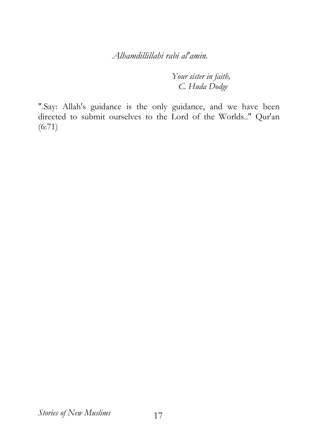Alhamdillillahi rabi al'amin.

Your sister in faith, C. Huda Dodge

".Say: Allah's guidance is the only guidance, and we have been directed to submit ourselves to the Lord of the Worlds.." Qur'an (6:71)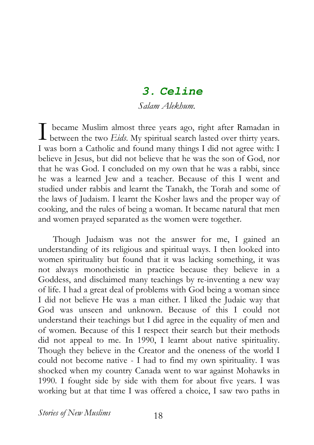#### **3. Celine**

Salam Alekhum.

 $\frac{1}{\text{I}}$  became Muslim almost three years ago, right after Ramadan in between the two *Eids*. My spiritual search lasted over thirty years.  $\blacktriangle$  between the two *Eids*. My spiritual search lasted over thirty years. I was born a Catholic and found many things I did not agree with: I believe in Jesus, but did not believe that he was the son of God, nor that he was God. I concluded on my own that he was a rabbi, since he was a learned Jew and a teacher. Because of this I went and studied under rabbis and learnt the Tanakh, the Torah and some of the laws of Judaism. I learnt the Kosher laws and the proper way of cooking, and the rules of being a woman. It became natural that men and women prayed separated as the women were together.

Though Judaism was not the answer for me, I gained an understanding of its religious and spiritual ways. I then looked into women spirituality but found that it was lacking something, it was not always monotheistic in practice because they believe in a Goddess, and disclaimed many teachings by re-inventing a new way of life. I had a great deal of problems with God being a woman since I did not believe He was a man either. I liked the Judaic way that God was unseen and unknown. Because of this I could not understand their teachings but I did agree in the equality of men and of women. Because of this I respect their search but their methods did not appeal to me. In 1990, I learnt about native spirituality. Though they believe in the Creator and the oneness of the world I could not become native - I had to find my own spirituality. I was shocked when my country Canada went to war against Mohawks in 1990. I fought side by side with them for about five years. I was working but at that time I was offered a choice, I saw two paths in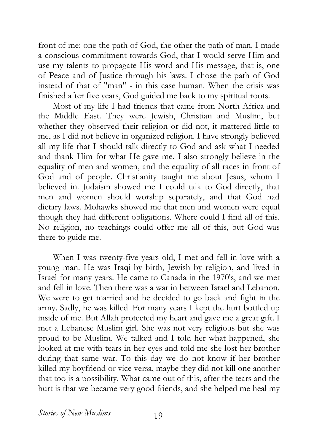front of me: one the path of God, the other the path of man. I made a conscious commitment towards God, that I would serve Him and use my talents to propagate His word and His message, that is, one of Peace and of Justice through his laws. I chose the path of God instead of that of "man" - in this case human. When the crisis was finished after five years, God guided me back to my spiritual roots.

Most of my life I had friends that came from North Africa and the Middle East. They were Jewish, Christian and Muslim, but whether they observed their religion or did not, it mattered little to me, as I did not believe in organized religion. I have strongly believed all my life that I should talk directly to God and ask what I needed and thank Him for what He gave me. I also strongly believe in the equality of men and women, and the equality of all races in front of God and of people. Christianity taught me about Jesus, whom I believed in. Judaism showed me I could talk to God directly, that men and women should worship separately, and that God had dietary laws. Mohawks showed me that men and women were equal though they had different obligations. Where could I find all of this. No religion, no teachings could offer me all of this, but God was there to guide me.

When I was twenty-five years old, I met and fell in love with a young man. He was Iraqi by birth, Jewish by religion, and lived in Israel for many years. He came to Canada in the 1970's, and we met and fell in love. Then there was a war in between Israel and Lebanon. We were to get married and he decided to go back and fight in the army. Sadly, he was killed. For many years I kept the hurt bottled up inside of me. But Allah protected my heart and gave me a great gift. I met a Lebanese Muslim girl. She was not very religious but she was proud to be Muslim. We talked and I told her what happened, she looked at me with tears in her eyes and told me she lost her brother during that same war. To this day we do not know if her brother killed my boyfriend or vice versa, maybe they did not kill one another that too is a possibility. What came out of this, after the tears and the hurt is that we became very good friends, and she helped me heal my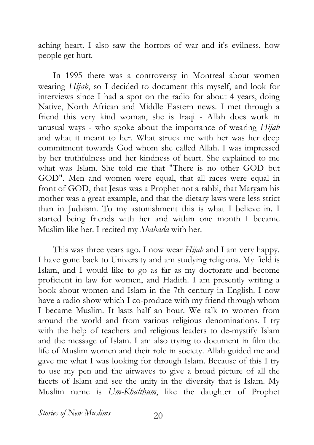aching heart. I also saw the horrors of war and it's evilness, how people get hurt.

In 1995 there was a controversy in Montreal about women wearing Hijab, so I decided to document this myself, and look for interviews since I had a spot on the radio for about 4 years, doing Native, North African and Middle Eastern news. I met through a friend this very kind woman, she is Iraqi - Allah does work in unusual ways - who spoke about the importance of wearing Hijab and what it meant to her. What struck me with her was her deep commitment towards God whom she called Allah. I was impressed by her truthfulness and her kindness of heart. She explained to me what was Islam. She told me that "There is no other GOD but GOD". Men and women were equal, that all races were equal in front of GOD, that Jesus was a Prophet not a rabbi, that Maryam his mother was a great example, and that the dietary laws were less strict than in Judaism. To my astonishment this is what I believe in. I started being friends with her and within one month I became Muslim like her. I recited my *Shahada* with her.

This was three years ago. I now wear *Hijab* and I am very happy. I have gone back to University and am studying religions. My field is Islam, and I would like to go as far as my doctorate and become proficient in law for women, and Hadith. I am presently writing a book about women and Islam in the 7th century in English. I now have a radio show which I co-produce with my friend through whom I became Muslim. It lasts half an hour. We talk to women from around the world and from various religious denominations. I try with the help of teachers and religious leaders to de-mystify Islam and the message of Islam. I am also trying to document in film the life of Muslim women and their role in society. Allah guided me and gave me what I was looking for through Islam. Because of this I try to use my pen and the airwaves to give a broad picture of all the facets of Islam and see the unity in the diversity that is Islam. My Muslim name is Um-Khalthum, like the daughter of Prophet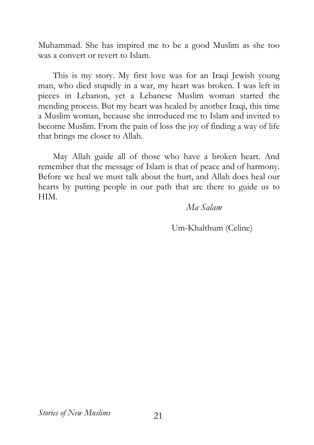Muhammad. She has inspired me to be a good Muslim as she too was a convert or revert to Islam.

This is my story. My first love was for an Iraqi Jewish young man, who died stupidly in a war, my heart was broken. I was left in pieces in Lebanon, yet a Lebanese Muslim woman started the mending process. But my heart was healed by another Iraqi, this time a Muslim woman, because she introduced me to Islam and invited to become Muslim. From the pain of loss the joy of finding a way of life that brings me closer to Allah.

May Allah guide all of those who have a broken heart. And remember that the message of Islam is that of peace and of harmony. Before we heal we must talk about the hurt, and Allah does heal our hearts by putting people in our path that are there to guide us to HIM.

Ma Salam

Um-Khalthum (Celine)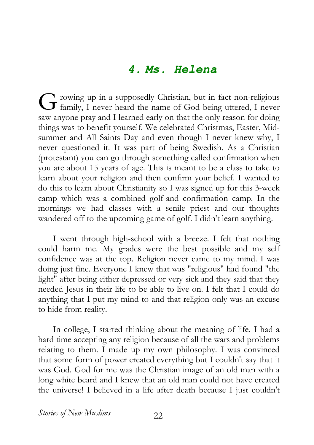#### **4. Ms. Helena**

rowing up in a supposedly Christian, but in fact non-religious G rowing up in a supposedly Christian, but in fact non-religious family, I never heard the name of God being uttered, I never saw anyone pray and I learned early on that the only reason for doing things was to benefit yourself. We celebrated Christmas, Easter, Midsummer and All Saints Day and even though I never knew why, I never questioned it. It was part of being Swedish. As a Christian (protestant) you can go through something called confirmation when you are about 15 years of age. This is meant to be a class to take to learn about your religion and then confirm your belief. I wanted to do this to learn about Christianity so I was signed up for this 3-week camp which was a combined golf-and confirmation camp. In the mornings we had classes with a senile priest and our thoughts wandered off to the upcoming game of golf. I didn't learn anything.

I went through high-school with a breeze. I felt that nothing could harm me. My grades were the best possible and my self confidence was at the top. Religion never came to my mind. I was doing just fine. Everyone I knew that was "religious" had found "the light" after being either depressed or very sick and they said that they needed Jesus in their life to be able to live on. I felt that I could do anything that I put my mind to and that religion only was an excuse to hide from reality.

In college, I started thinking about the meaning of life. I had a hard time accepting any religion because of all the wars and problems relating to them. I made up my own philosophy. I was convinced that some form of power created everything but I couldn't say that it was God. God for me was the Christian image of an old man with a long white beard and I knew that an old man could not have created the universe! I believed in a life after death because I just couldn't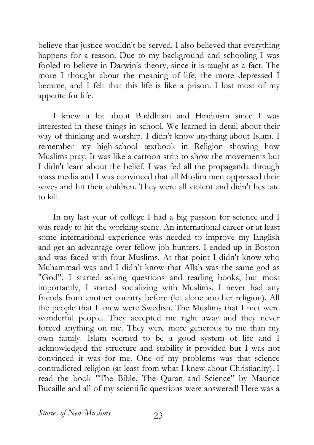believe that justice wouldn't be served. I also believed that everything happens for a reason. Due to my background and schooling I was fooled to believe in Darwin's theory, since it is taught as a fact. The more I thought about the meaning of life, the more depressed I became, and I felt that this life is like a prison. I lost most of my appetite for life.

I knew a lot about Buddhism and Hinduism since I was interested in these things in school. We learned in detail about their way of thinking and worship. I didn't know anything about Islam. I remember my high-school textbook in Religion showing how Muslims pray. It was like a cartoon strip to show the movements but I didn't learn about the belief. I was fed all the propaganda through mass media and I was convinced that all Muslim men oppressed their wives and hit their children. They were all violent and didn't hesitate to kill.

In my last year of college I had a big passion for science and I was ready to hit the working scene. An international career or at least some international experience was needed to improve my English and get an advantage over fellow job hunters. I ended up in Boston and was faced with four Muslims. At that point I didn't know who Muhammad was and I didn't know that Allah was the same god as "God". I started asking questions and reading books, but most importantly, I started socializing with Muslims. I never had any friends from another country before (let alone another religion). All the people that I knew were Swedish. The Muslims that I met were wonderful people. They accepted me right away and they never forced anything on me. They were more generous to me than my own family. Islam seemed to be a good system of life and I acknowledged the structure and stability it provided but I was not convinced it was for me. One of my problems was that science contradicted religion (at least from what I knew about Christianity). I read the book "The Bible, The Quran and Science" by Maurice Bucaille and all of my scientific questions were answered! Here was a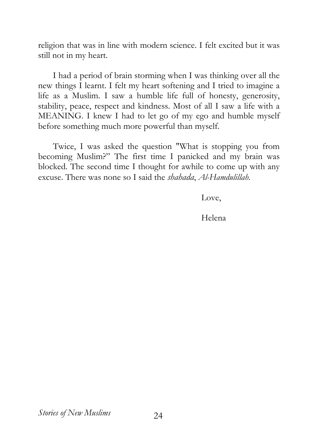religion that was in line with modern science. I felt excited but it was still not in my heart.

I had a period of brain storming when I was thinking over all the new things I learnt. I felt my heart softening and I tried to imagine a life as a Muslim. I saw a humble life full of honesty, generosity, stability, peace, respect and kindness. Most of all I saw a life with a MEANING. I knew I had to let go of my ego and humble myself before something much more powerful than myself.

Twice, I was asked the question "What is stopping you from becoming Muslim?" The first time I panicked and my brain was blocked. The second time I thought for awhile to come up with any excuse. There was none so I said the shahada, Al-Hamdulillah.

Love,

Helena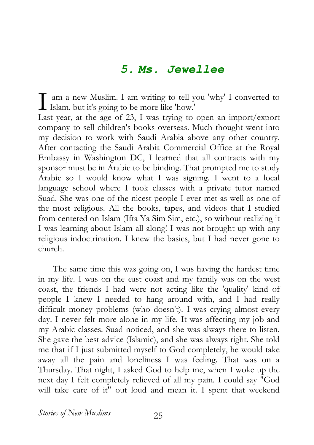#### **5. Ms. Jewellee**

 am a new Muslim. I am writing to tell you 'why' I converted to I am a new Muslim. I am writing to tell you Islam, but it's going to be more like 'how.'

Last year, at the age of 23, I was trying to open an import/export company to sell children's books overseas. Much thought went into my decision to work with Saudi Arabia above any other country. After contacting the Saudi Arabia Commercial Office at the Royal Embassy in Washington DC, I learned that all contracts with my sponsor must be in Arabic to be binding. That prompted me to study Arabic so I would know what I was signing. I went to a local language school where I took classes with a private tutor named Suad. She was one of the nicest people I ever met as well as one of the most religious. All the books, tapes, and videos that I studied from centered on Islam (Ifta Ya Sim Sim, etc.), so without realizing it I was learning about Islam all along! I was not brought up with any religious indoctrination. I knew the basics, but I had never gone to church.

The same time this was going on, I was having the hardest time in my life. I was on the east coast and my family was on the west coast, the friends I had were not acting like the 'quality' kind of people I knew I needed to hang around with, and I had really difficult money problems (who doesn't). I was crying almost every day. I never felt more alone in my life. It was affecting my job and my Arabic classes. Suad noticed, and she was always there to listen. She gave the best advice (Islamic), and she was always right. She told me that if I just submitted myself to God completely, he would take away all the pain and loneliness I was feeling. That was on a Thursday. That night, I asked God to help me, when I woke up the next day I felt completely relieved of all my pain. I could say "God will take care of it" out loud and mean it. I spent that weekend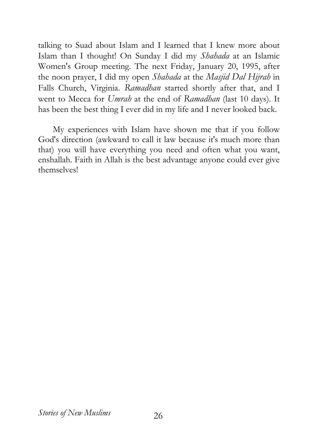talking to Suad about Islam and I learned that I knew more about Islam than I thought! On Sunday I did my Shahada at an Islamic Women's Group meeting. The next Friday, January 20, 1995, after the noon prayer, I did my open Shahada at the Masjid Dal Hijrah in Falls Church, Virginia. Ramadhan started shortly after that, and I went to Mecca for Umrah at the end of Ramadhan (last 10 days). It has been the best thing I ever did in my life and I never looked back.

My experiences with Islam have shown me that if you follow God's direction (awkward to call it law because it's much more than that) you will have everything you need and often what you want, enshallah. Faith in Allah is the best advantage anyone could ever give themselves!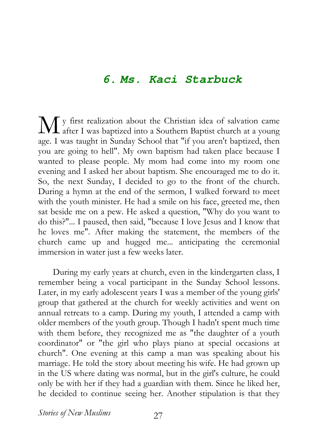#### **6. Ms. Kaci Starbuck**

y first realization about the Christian idea of salvation came M y first realization about the Christian idea of salvation came<br>after I was baptized into a Southern Baptist church at a young<br>age. I was taught in Sunday Sehool that "if you agen't bestined, than age. I was taught in Sunday School that "if you aren't baptized, then you are going to hell". My own baptism had taken place because I wanted to please people. My mom had come into my room one evening and I asked her about baptism. She encouraged me to do it. So, the next Sunday, I decided to go to the front of the church. During a hymn at the end of the sermon, I walked forward to meet with the youth minister. He had a smile on his face, greeted me, then sat beside me on a pew. He asked a question, "Why do you want to do this?"... I paused, then said, "because I love Jesus and I know that he loves me". After making the statement, the members of the church came up and hugged me... anticipating the ceremonial immersion in water just a few weeks later.

During my early years at church, even in the kindergarten class, I remember being a vocal participant in the Sunday School lessons. Later, in my early adolescent years I was a member of the young girls' group that gathered at the church for weekly activities and went on annual retreats to a camp. During my youth, I attended a camp with older members of the youth group. Though I hadn't spent much time with them before, they recognized me as "the daughter of a youth coordinator" or "the girl who plays piano at special occasions at church". One evening at this camp a man was speaking about his marriage. He told the story about meeting his wife. He had grown up in the US where dating was normal, but in the girl's culture, he could only be with her if they had a guardian with them. Since he liked her, he decided to continue seeing her. Another stipulation is that they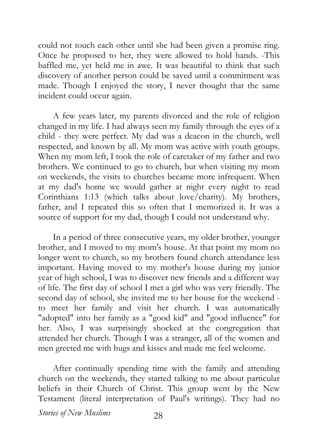could not touch each other until she had been given a promise ring. Once he proposed to her, they were allowed to hold hands. -This baffled me, yet held me in awe. It was beautiful to think that such discovery of another person could be saved until a commitment was made. Though I enjoyed the story, I never thought that the same incident could occur again.

A few years later, my parents divorced and the role of religion changed in my life. I had always seen my family through the eyes of a child - they were perfect. My dad was a deacon in the church, well respected, and known by all. My mom was active with youth groups. When my mom left, I took the role of caretaker of my father and two brothers. We continued to go to church, but when visiting my mom on weekends, the visits to churches became more infrequent. When at my dad's home we would gather at night every night to read Corinthians 1:13 (which talks about love/charity). My brothers, father, and I repeated this so often that I memorized it. It was a source of support for my dad, though I could not understand why.

In a period of three consecutive years, my older brother, younger brother, and I moved to my mom's house. At that point my mom no longer went to church, so my brothers found church attendance less important. Having moved to my mother's house during my junior year of high school, I was to discover new friends and a different way of life. The first day of school I met a girl who was very friendly. The second day of school, she invited me to her house for the weekend to meet her family and visit her church. I was automatically "adopted" into her family as a "good kid" and "good influence" for her. Also, I was surprisingly shocked at the congregation that attended her church. Though I was a stranger, all of the women and men greeted me with hugs and kisses and made me feel welcome.

After continually spending time with the family and attending church on the weekends, they started talking to me about particular beliefs in their Church of Christ. This group went by the New Testament (literal interpretation of Paul's writings). They had no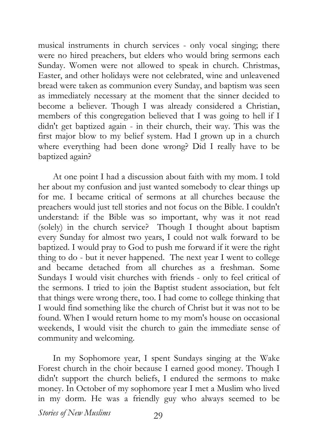musical instruments in church services - only vocal singing; there were no hired preachers, but elders who would bring sermons each Sunday. Women were not allowed to speak in church. Christmas, Easter, and other holidays were not celebrated, wine and unleavened bread were taken as communion every Sunday, and baptism was seen as immediately necessary at the moment that the sinner decided to become a believer. Though I was already considered a Christian, members of this congregation believed that I was going to hell if I didn't get baptized again - in their church, their way. This was the first major blow to my belief system. Had I grown up in a church where everything had been done wrong? Did I really have to be baptized again?

At one point I had a discussion about faith with my mom. I told her about my confusion and just wanted somebody to clear things up for me. I became critical of sermons at all churches because the preachers would just tell stories and not focus on the Bible. I couldn't understand: if the Bible was so important, why was it not read (solely) in the church service? Though I thought about baptism every Sunday for almost two years, I could not walk forward to be baptized. I would pray to God to push me forward if it were the right thing to do - but it never happened. The next year I went to college and became detached from all churches as a freshman. Some Sundays I would visit churches with friends - only to feel critical of the sermons. I tried to join the Baptist student association, but felt that things were wrong there, too. I had come to college thinking that I would find something like the church of Christ but it was not to be found. When I would return home to my mom's house on occasional weekends, I would visit the church to gain the immediate sense of community and welcoming.

In my Sophomore year, I spent Sundays singing at the Wake Forest church in the choir because I earned good money. Though I didn't support the church beliefs, I endured the sermons to make money. In October of my sophomore year I met a Muslim who lived in my dorm. He was a friendly guy who always seemed to be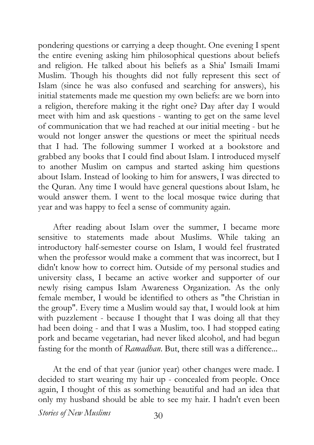pondering questions or carrying a deep thought. One evening I spent the entire evening asking him philosophical questions about beliefs and religion. He talked about his beliefs as a Shia' Ismaili Imami Muslim. Though his thoughts did not fully represent this sect of Islam (since he was also confused and searching for answers), his initial statements made me question my own beliefs: are we born into a religion, therefore making it the right one? Day after day I would meet with him and ask questions - wanting to get on the same level of communication that we had reached at our initial meeting - but he would not longer answer the questions or meet the spiritual needs that I had. The following summer I worked at a bookstore and grabbed any books that I could find about Islam. I introduced myself to another Muslim on campus and started asking him questions about Islam. Instead of looking to him for answers, I was directed to the Quran. Any time I would have general questions about Islam, he would answer them. I went to the local mosque twice during that year and was happy to feel a sense of community again.

After reading about Islam over the summer, I became more sensitive to statements made about Muslims. While taking an introductory half-semester course on Islam, I would feel frustrated when the professor would make a comment that was incorrect, but I didn't know how to correct him. Outside of my personal studies and university class, I became an active worker and supporter of our newly rising campus Islam Awareness Organization. As the only female member, I would be identified to others as "the Christian in the group". Every time a Muslim would say that, I would look at him with puzzlement - because I thought that I was doing all that they had been doing - and that I was a Muslim, too. I had stopped eating pork and became vegetarian, had never liked alcohol, and had begun fasting for the month of Ramadhan. But, there still was a difference...

Stories of New Muslims 30 At the end of that year (junior year) other changes were made. I decided to start wearing my hair up - concealed from people. Once again, I thought of this as something beautiful and had an idea that only my husband should be able to see my hair. I hadn't even been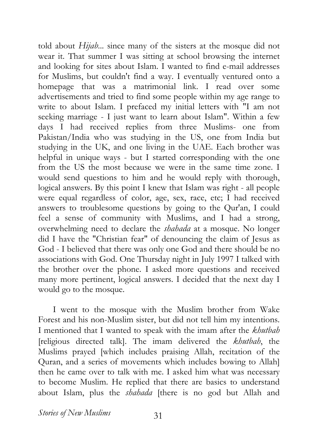told about Hijab... since many of the sisters at the mosque did not wear it. That summer I was sitting at school browsing the internet and looking for sites about Islam. I wanted to find e-mail addresses for Muslims, but couldn't find a way. I eventually ventured onto a homepage that was a matrimonial link. I read over some advertisements and tried to find some people within my age range to write to about Islam. I prefaced my initial letters with "I am not seeking marriage - I just want to learn about Islam". Within a few days I had received replies from three Muslims- one from Pakistan/India who was studying in the US, one from India but studying in the UK, and one living in the UAE. Each brother was helpful in unique ways - but I started corresponding with the one from the US the most because we were in the same time zone. I would send questions to him and he would reply with thorough, logical answers. By this point I knew that Islam was right - all people were equal regardless of color, age, sex, race, etc; I had received answers to troublesome questions by going to the Qur'an, I could feel a sense of community with Muslims, and I had a strong, overwhelming need to declare the shahada at a mosque. No longer did I have the "Christian fear" of denouncing the claim of Jesus as God - I believed that there was only one God and there should be no associations with God. One Thursday night in July 1997 I talked with the brother over the phone. I asked more questions and received many more pertinent, logical answers. I decided that the next day I would go to the mosque.

I went to the mosque with the Muslim brother from Wake Forest and his non-Muslim sister, but did not tell him my intentions. I mentioned that I wanted to speak with the imam after the khutbah [religious directed talk]. The imam delivered the khutbah, the Muslims prayed [which includes praising Allah, recitation of the Quran, and a series of movements which includes bowing to Allah] then he came over to talk with me. I asked him what was necessary to become Muslim. He replied that there are basics to understand about Islam, plus the *shahada* [there is no god but Allah and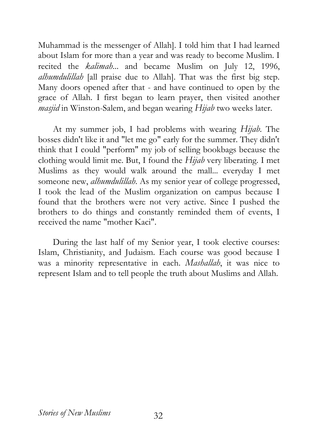Muhammad is the messenger of Allah]. I told him that I had learned about Islam for more than a year and was ready to become Muslim. I recited the *kalimah*... and became Muslim on July 12, 1996, alhumdulillah [all praise due to Allah]. That was the first big step. Many doors opened after that - and have continued to open by the grace of Allah. I first began to learn prayer, then visited another masjid in Winston-Salem, and began wearing Hijab two weeks later.

At my summer job, I had problems with wearing *Hijab*. The bosses didn't like it and "let me go" early for the summer. They didn't think that I could "perform" my job of selling bookbags because the clothing would limit me. But, I found the Hijab very liberating. I met Muslims as they would walk around the mall... everyday I met someone new, *alhumdulillah*. As my senior year of college progressed, I took the lead of the Muslim organization on campus because I found that the brothers were not very active. Since I pushed the brothers to do things and constantly reminded them of events, I received the name "mother Kaci".

During the last half of my Senior year, I took elective courses: Islam, Christianity, and Judaism. Each course was good because I was a minority representative in each. *Mashallah*, it was nice to represent Islam and to tell people the truth about Muslims and Allah.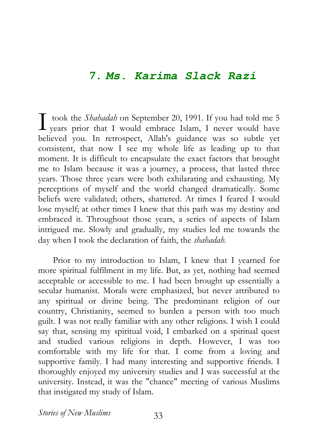#### **7. Ms. Karima Slack Razi**

 took the Shahadah on September 20, 1991. If you had told me 5 I took the *Shahadah* on September 20, 1991. If you had told me 5 years prior that I would embrace Islam, I never would have believed you. In retrospect, Allah's guidance was so subtle yet consistent, that now I see my whole life as leading up to that moment. It is difficult to encapsulate the exact factors that brought me to Islam because it was a journey, a process, that lasted three years. Those three years were both exhilarating and exhausting. My perceptions of myself and the world changed dramatically. Some beliefs were validated; others, shattered. At times I feared I would lose myself; at other times I knew that this path was my destiny and embraced it. Throughout those years, a series of aspects of Islam intrigued me. Slowly and gradually, my studies led me towards the day when I took the declaration of faith, the *shahadah*.

Prior to my introduction to Islam, I knew that I yearned for more spiritual fulfilment in my life. But, as yet, nothing had seemed acceptable or accessible to me. I had been brought up essentially a secular humanist. Morals were emphasized, but never attributed to any spiritual or divine being. The predominant religion of our country, Christianity, seemed to burden a person with too much guilt. I was not really familiar with any other religions. I wish I could say that, sensing my spiritual void, I embarked on a spiritual quest and studied various religions in depth. However, I was too comfortable with my life for that. I come from a loving and supportive family. I had many interesting and supportive friends. I thoroughly enjoyed my university studies and I was successful at the university. Instead, it was the "chance" meeting of various Muslims that instigated my study of Islam.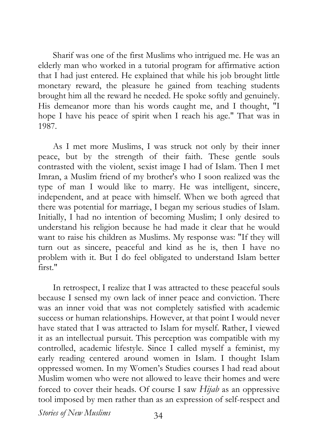Sharif was one of the first Muslims who intrigued me. He was an elderly man who worked in a tutorial program for affirmative action that I had just entered. He explained that while his job brought little monetary reward, the pleasure he gained from teaching students brought him all the reward he needed. He spoke softly and genuinely. His demeanor more than his words caught me, and I thought, "I hope I have his peace of spirit when I reach his age." That was in 1987.

As I met more Muslims, I was struck not only by their inner peace, but by the strength of their faith. These gentle souls contrasted with the violent, sexist image I had of Islam. Then I met Imran, a Muslim friend of my brother's who I soon realized was the type of man I would like to marry. He was intelligent, sincere, independent, and at peace with himself. When we both agreed that there was potential for marriage, I began my serious studies of Islam. Initially, I had no intention of becoming Muslim; I only desired to understand his religion because he had made it clear that he would want to raise his children as Muslims. My response was: "If they will turn out as sincere, peaceful and kind as he is, then I have no problem with it. But I do feel obligated to understand Islam better first."

In retrospect, I realize that I was attracted to these peaceful souls because I sensed my own lack of inner peace and conviction. There was an inner void that was not completely satisfied with academic success or human relationships. However, at that point I would never have stated that I was attracted to Islam for myself. Rather, I viewed it as an intellectual pursuit. This perception was compatible with my controlled, academic lifestyle. Since I called myself a feminist, my early reading centered around women in Islam. I thought Islam oppressed women. In my Women's Studies courses I had read about Muslim women who were not allowed to leave their homes and were forced to cover their heads. Of course I saw Hijab as an oppressive tool imposed by men rather than as an expression of self-respect and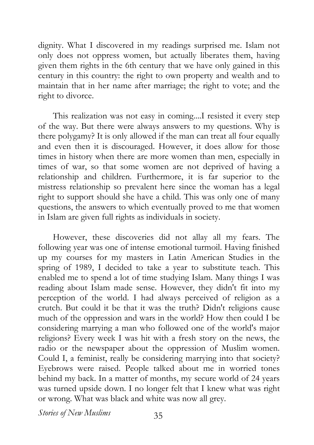dignity. What I discovered in my readings surprised me. Islam not only does not oppress women, but actually liberates them, having given them rights in the 6th century that we have only gained in this century in this country: the right to own property and wealth and to maintain that in her name after marriage; the right to vote; and the right to divorce.

This realization was not easy in coming....I resisted it every step of the way. But there were always answers to my questions. Why is there polygamy? It is only allowed if the man can treat all four equally and even then it is discouraged. However, it does allow for those times in history when there are more women than men, especially in times of war, so that some women are not deprived of having a relationship and children. Furthermore, it is far superior to the mistress relationship so prevalent here since the woman has a legal right to support should she have a child. This was only one of many questions, the answers to which eventually proved to me that women in Islam are given full rights as individuals in society.

However, these discoveries did not allay all my fears. The following year was one of intense emotional turmoil. Having finished up my courses for my masters in Latin American Studies in the spring of 1989, I decided to take a year to substitute teach. This enabled me to spend a lot of time studying Islam. Many things I was reading about Islam made sense. However, they didn't fit into my perception of the world. I had always perceived of religion as a crutch. But could it be that it was the truth? Didn't religions cause much of the oppression and wars in the world? How then could I be considering marrying a man who followed one of the world's major religions? Every week I was hit with a fresh story on the news, the radio or the newspaper about the oppression of Muslim women. Could I, a feminist, really be considering marrying into that society? Eyebrows were raised. People talked about me in worried tones behind my back. In a matter of months, my secure world of 24 years was turned upside down. I no longer felt that I knew what was right or wrong. What was black and white was now all grey.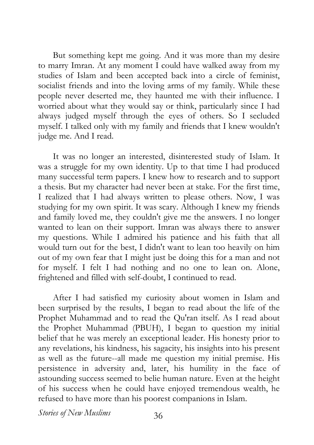But something kept me going. And it was more than my desire to marry Imran. At any moment I could have walked away from my studies of Islam and been accepted back into a circle of feminist, socialist friends and into the loving arms of my family. While these people never deserted me, they haunted me with their influence. I worried about what they would say or think, particularly since I had always judged myself through the eyes of others. So I secluded myself. I talked only with my family and friends that I knew wouldn't judge me. And I read.

It was no longer an interested, disinterested study of Islam. It was a struggle for my own identity. Up to that time I had produced many successful term papers. I knew how to research and to support a thesis. But my character had never been at stake. For the first time, I realized that I had always written to please others. Now, I was studying for my own spirit. It was scary. Although I knew my friends and family loved me, they couldn't give me the answers. I no longer wanted to lean on their support. Imran was always there to answer my questions. While I admired his patience and his faith that all would turn out for the best, I didn't want to lean too heavily on him out of my own fear that I might just be doing this for a man and not for myself. I felt I had nothing and no one to lean on. Alone, frightened and filled with self-doubt, I continued to read.

After I had satisfied my curiosity about women in Islam and been surprised by the results, I began to read about the life of the Prophet Muhammad and to read the Qu'ran itself. As I read about the Prophet Muhammad (PBUH), I began to question my initial belief that he was merely an exceptional leader. His honesty prior to any revelations, his kindness, his sagacity, his insights into his present as well as the future--all made me question my initial premise. His persistence in adversity and, later, his humility in the face of astounding success seemed to belie human nature. Even at the height of his success when he could have enjoyed tremendous wealth, he refused to have more than his poorest companions in Islam.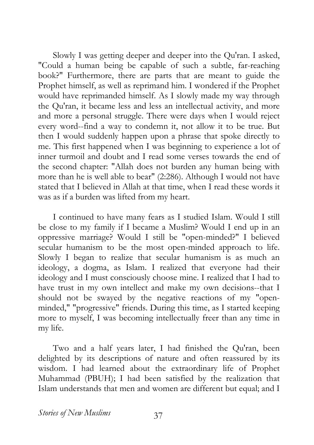Slowly I was getting deeper and deeper into the Qu'ran. I asked, "Could a human being be capable of such a subtle, far-reaching book?" Furthermore, there are parts that are meant to guide the Prophet himself, as well as reprimand him. I wondered if the Prophet would have reprimanded himself. As I slowly made my way through the Qu'ran, it became less and less an intellectual activity, and more and more a personal struggle. There were days when I would reject every word--find a way to condemn it, not allow it to be true. But then I would suddenly happen upon a phrase that spoke directly to me. This first happened when I was beginning to experience a lot of inner turmoil and doubt and I read some verses towards the end of the second chapter: "Allah does not burden any human being with more than he is well able to bear" (2:286). Although I would not have stated that I believed in Allah at that time, when I read these words it was as if a burden was lifted from my heart.

I continued to have many fears as I studied Islam. Would I still be close to my family if I became a Muslim? Would I end up in an oppressive marriage? Would I still be "open-minded?" I believed secular humanism to be the most open-minded approach to life. Slowly I began to realize that secular humanism is as much an ideology, a dogma, as Islam. I realized that everyone had their ideology and I must consciously choose mine. I realized that I had to have trust in my own intellect and make my own decisions--that I should not be swayed by the negative reactions of my "openminded," "progressive" friends. During this time, as I started keeping more to myself, I was becoming intellectually freer than any time in my life.

Two and a half years later, I had finished the Qu'ran, been delighted by its descriptions of nature and often reassured by its wisdom. I had learned about the extraordinary life of Prophet Muhammad (PBUH); I had been satisfied by the realization that Islam understands that men and women are different but equal; and I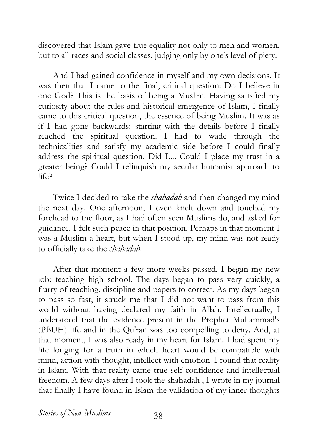discovered that Islam gave true equality not only to men and women, but to all races and social classes, judging only by one's level of piety.

And I had gained confidence in myself and my own decisions. It was then that I came to the final, critical question: Do I believe in one God? This is the basis of being a Muslim. Having satisfied my curiosity about the rules and historical emergence of Islam, I finally came to this critical question, the essence of being Muslim. It was as if I had gone backwards: starting with the details before I finally reached the spiritual question. I had to wade through the technicalities and satisfy my academic side before I could finally address the spiritual question. Did I.... Could I place my trust in a greater being? Could I relinquish my secular humanist approach to life?

Twice I decided to take the *shahadah* and then changed my mind the next day. One afternoon, I even knelt down and touched my forehead to the floor, as I had often seen Muslims do, and asked for guidance. I felt such peace in that position. Perhaps in that moment I was a Muslim a heart, but when I stood up, my mind was not ready to officially take the shahadah.

After that moment a few more weeks passed. I began my new job: teaching high school. The days began to pass very quickly, a flurry of teaching, discipline and papers to correct. As my days began to pass so fast, it struck me that I did not want to pass from this world without having declared my faith in Allah. Intellectually, I understood that the evidence present in the Prophet Muhammad's (PBUH) life and in the Qu'ran was too compelling to deny. And, at that moment, I was also ready in my heart for Islam. I had spent my life longing for a truth in which heart would be compatible with mind, action with thought, intellect with emotion. I found that reality in Islam. With that reality came true self-confidence and intellectual freedom. A few days after I took the shahadah , I wrote in my journal that finally I have found in Islam the validation of my inner thoughts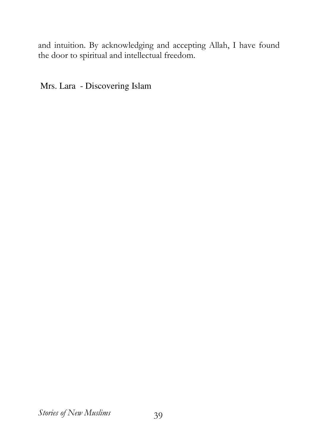and intuition. By acknowledging and accepting Allah, I have found the door to spiritual and intellectual freedom.

Mrs. Lara - Discovering Islam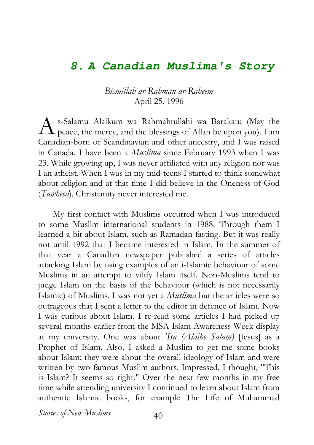#### **8. A Canadian Muslima's Story**

Bismillah ar-Rahman ar-Raheem April 25, 1996

s-Salamu Alaikum wa Rahmahtullahi wa Barakatu (May the  $A$  s-Salamu Alaikum wa Rahmahtullahi wa Barakatu (May the peace, the mercy, and the blessings of Allah be upon you). I am Canadian-born of Scandinavian and other ancestry, and I was raised in Canada. I have been a Muslima since February 1993 when I was 23. While growing up, I was never affiliated with any religion nor was I an atheist. When I was in my mid-teens I started to think somewhat about religion and at that time I did believe in the Oneness of God (Tawheed). Christianity never interested me.

My first contact with Muslims occurred when I was introduced to some Muslim international students in 1988. Through them I learned a bit about Islam, such as Ramadan fasting. But it was really not until 1992 that I became interested in Islam. In the summer of that year a Canadian newspaper published a series of articles attacking Islam by using examples of anti-Islamic behaviour of some Muslims in an attempt to vilify Islam itself. Non-Muslims tend to judge Islam on the basis of the behaviour (which is not necessarily Islamic) of Muslims. I was not yet a Muslima but the articles were so outrageous that I sent a letter to the editor in defence of Islam. Now I was curious about Islam. I re-read some articles I had picked up several months earlier from the MSA Islam Awareness Week display at my university. One was about 'Isa (Alaihe Salam) [Jesus] as a Prophet of Islam. Also, I asked a Muslim to get me some books about Islam; they were about the overall ideology of Islam and were written by two famous Muslim authors. Impressed, I thought, "This is Islam? It seems so right." Over the next few months in my free time while attending university I continued to learn about Islam from authentic Islamic books, for example The Life of Muhammad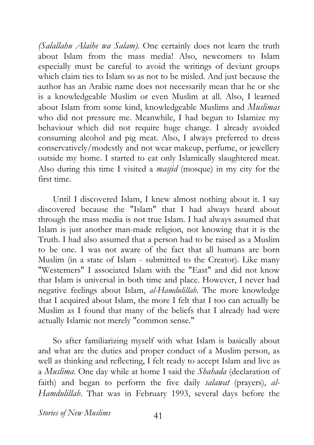(Salallahu Alaihe wa Salam). One certainly does not learn the truth about Islam from the mass media! Also, newcomers to Islam especially must be careful to avoid the writings of deviant groups which claim ties to Islam so as not to be misled. And just because the author has an Arabic name does not necessarily mean that he or she is a knowledgeable Muslim or even Muslim at all. Also, I learned about Islam from some kind, knowledgeable Muslims and Muslimas who did not pressure me. Meanwhile, I had begun to Islamize my behaviour which did not require huge change. I already avoided consuming alcohol and pig meat. Also, I always preferred to dress conservatively/modestly and not wear makeup, perfume, or jewellery outside my home. I started to eat only Islamically slaughtered meat. Also during this time I visited a *masjid* (mosque) in my city for the first time.

Until I discovered Islam, I knew almost nothing about it. I say discovered because the "Islam" that I had always heard about through the mass media is not true Islam. I had always assumed that Islam is just another man-made religion, not knowing that it is the Truth. I had also assumed that a person had to be raised as a Muslim to be one. I was not aware of the fact that all humans are born Muslim (in a state of Islam - submitted to the Creator). Like many "Westerners" I associated Islam with the "East" and did not know that Islam is universal in both time and place. However, I never had negative feelings about Islam, al-Hamdulillah. The more knowledge that I acquired about Islam, the more I felt that I too can actually be Muslim as I found that many of the beliefs that I already had were actually Islamic not merely "common sense."

So after familiarizing myself with what Islam is basically about and what are the duties and proper conduct of a Muslim person, as well as thinking and reflecting, I felt ready to accept Islam and live as a *Muslima*. One day while at home I said the *Shahada* (declaration of faith) and began to perform the five daily salawat (prayers), al-Hamdulillah. That was in February 1993, several days before the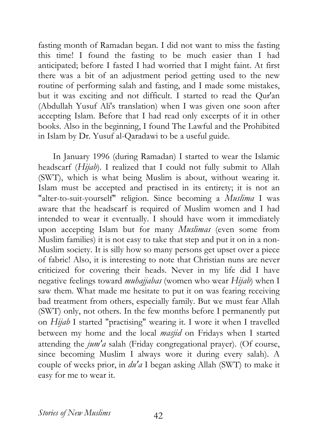fasting month of Ramadan began. I did not want to miss the fasting this time! I found the fasting to be much easier than I had anticipated; before I fasted I had worried that I might faint. At first there was a bit of an adjustment period getting used to the new routine of performing salah and fasting, and I made some mistakes, but it was exciting and not difficult. I started to read the Qur'an (Abdullah Yusuf Ali's translation) when I was given one soon after accepting Islam. Before that I had read only excerpts of it in other books. Also in the beginning, I found The Lawful and the Prohibited in Islam by Dr. Yusuf al-Qaradawi to be a useful guide.

In January 1996 (during Ramadan) I started to wear the Islamic headscarf (Hijab). I realized that I could not fully submit to Allah (SWT), which is what being Muslim is about, without wearing it. Islam must be accepted and practised in its entirety; it is not an "alter-to-suit-yourself" religion. Since becoming a *Muslima* I was aware that the headscarf is required of Muslim women and I had intended to wear it eventually. I should have worn it immediately upon accepting Islam but for many Muslimas (even some from Muslim families) it is not easy to take that step and put it on in a non-Muslim society. It is silly how so many persons get upset over a piece of fabric! Also, it is interesting to note that Christian nuns are never criticized for covering their heads. Never in my life did I have negative feelings toward *muhajjabas* (women who wear Hijab) when I saw them. What made me hesitate to put it on was fearing receiving bad treatment from others, especially family. But we must fear Allah (SWT) only, not others. In the few months before I permanently put on Hijab I started "practising" wearing it. I wore it when I travelled between my home and the local masjid on Fridays when I started attending the jum'a salah (Friday congregational prayer). (Of course, since becoming Muslim I always wore it during every salah). A couple of weeks prior, in  $du'a$  I began asking Allah (SWT) to make it easy for me to wear it.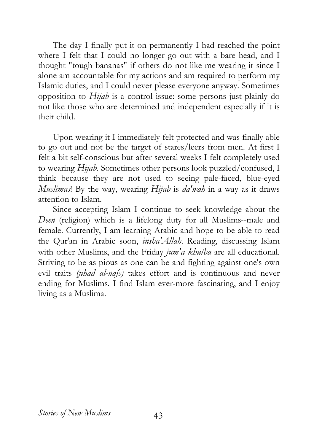The day I finally put it on permanently I had reached the point where I felt that I could no longer go out with a bare head, and I thought "tough bananas" if others do not like me wearing it since I alone am accountable for my actions and am required to perform my Islamic duties, and I could never please everyone anyway. Sometimes opposition to Hijab is a control issue: some persons just plainly do not like those who are determined and independent especially if it is their child.

Upon wearing it I immediately felt protected and was finally able to go out and not be the target of stares/leers from men. At first I felt a bit self-conscious but after several weeks I felt completely used to wearing Hijab. Sometimes other persons look puzzled/confused, I think because they are not used to seeing pale-faced, blue-eyed Muslimas! By the way, wearing Hijab is da'wah in a way as it draws attention to Islam.

Since accepting Islam I continue to seek knowledge about the Deen (religion) which is a lifelong duty for all Muslims--male and female. Currently, I am learning Arabic and hope to be able to read the Qur'an in Arabic soon, insha'Allah. Reading, discussing Islam with other Muslims, and the Friday jum'a khutba are all educational. Striving to be as pious as one can be and fighting against one's own evil traits (jihad al-nafs) takes effort and is continuous and never ending for Muslims. I find Islam ever-more fascinating, and I enjoy living as a Muslima.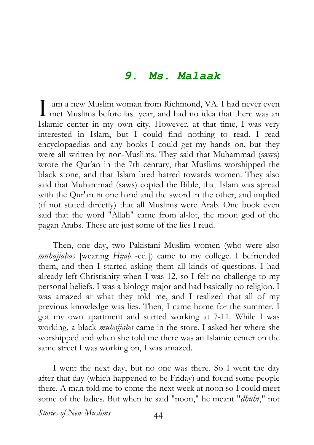### **9. Ms. Malaak**

I am a new Muslim woman from Richmond, VA. I had never even<br>met Muslims before last year, and had no idea that there was an **L** met Muslims before last year, and had no idea that there was an Islamic center in my own city. However, at that time, I was very interested in Islam, but I could find nothing to read. I read encyclopaedias and any books I could get my hands on, but they were all written by non-Muslims. They said that Muhammad (saws) wrote the Qur'an in the 7th century, that Muslims worshipped the black stone, and that Islam bred hatred towards women. They also said that Muhammad (saws) copied the Bible, that Islam was spread with the Qur'an in one hand and the sword in the other, and implied (if not stated directly) that all Muslims were Arab. One book even said that the word "Allah" came from al-lot, the moon god of the pagan Arabs. These are just some of the lies I read.

Then, one day, two Pakistani Muslim women (who were also muhajjabas [wearing Hijab -ed.]) came to my college. I befriended them, and then I started asking them all kinds of questions. I had already left Christianity when I was 12, so I felt no challenge to my personal beliefs. I was a biology major and had basically no religion. I was amazed at what they told me, and I realized that all of my previous knowledge was lies. Then, I came home for the summer. I got my own apartment and started working at 7-11. While I was working, a black muhajjaba came in the store. I asked her where she worshipped and when she told me there was an Islamic center on the same street I was working on, I was amazed.

I went the next day, but no one was there. So I went the day after that day (which happened to be Friday) and found some people there. A man told me to come the next week at noon so I could meet some of the ladies. But when he said "noon," he meant "*dhuhr*," not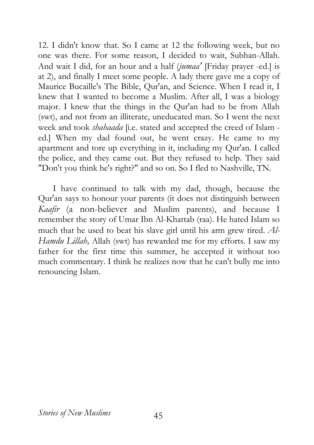12. I didn't know that. So I came at 12 the following week, but no one was there. For some reason, I decided to wait, Subhan-Allah. And wait I did, for an hour and a half (jumaa' [Friday prayer -ed.] is at 2), and finally I meet some people. A lady there gave me a copy of Maurice Bucaille's The Bible, Qur'an, and Science. When I read it, I knew that I wanted to become a Muslim. After all, I was a biology major. I knew that the things in the Qur'an had to be from Allah (swt), and not from an illiterate, uneducated man. So I went the next week and took *shahaada* [i.e. stated and accepted the creed of Islam ed.] When my dad found out, he went crazy. He came to my apartment and tore up everything in it, including my Qur'an. I called the police, and they came out. But they refused to help. They said "Don't you think he's right?" and so on. So I fled to Nashville, TN.

I have continued to talk with my dad, though, because the Qur'an says to honour your parents (it does not distinguish between Kaafir (a non-believer and Muslim parents), and because I remember the story of Umar Ibn Al-Khattab (raa). He hated Islam so much that he used to beat his slave girl until his arm grew tired. Al-Hamdu Lillah, Allah (swt) has rewarded me for my efforts. I saw my father for the first time this summer, he accepted it without too much commentary. I think he realizes now that he can't bully me into renouncing Islam.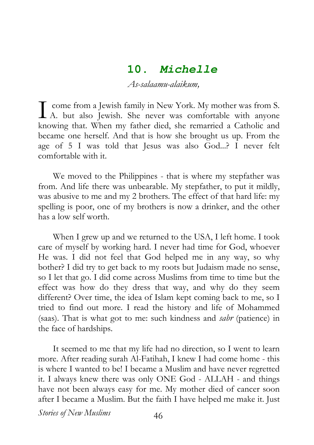# **10. Michelle**

As-salaamu-alaikum,

 come from a Jewish family in New York. My mother was from S. I come from a Jewish family in New York. My mother was from S.<br>A. but also Jewish. She never was comfortable with anyone knowing that. When my father died, she remarried a Catholic and became one herself. And that is how she brought us up. From the age of 5 I was told that Jesus was also God...? I never felt comfortable with it.

We moved to the Philippines - that is where my stepfather was from. And life there was unbearable. My stepfather, to put it mildly, was abusive to me and my 2 brothers. The effect of that hard life: my spelling is poor, one of my brothers is now a drinker, and the other has a low self worth.

When I grew up and we returned to the USA, I left home. I took care of myself by working hard. I never had time for God, whoever He was. I did not feel that God helped me in any way, so why bother? I did try to get back to my roots but Judaism made no sense, so I let that go. I did come across Muslims from time to time but the effect was how do they dress that way, and why do they seem different? Over time, the idea of Islam kept coming back to me, so I tried to find out more. I read the history and life of Mohammed (saas). That is what got to me: such kindness and sabr (patience) in the face of hardships.

It seemed to me that my life had no direction, so I went to learn more. After reading surah Al-Fatihah, I knew I had come home - this is where I wanted to be! I became a Muslim and have never regretted it. I always knew there was only ONE God - ALLAH - and things have not been always easy for me. My mother died of cancer soon after I became a Muslim. But the faith I have helped me make it. Just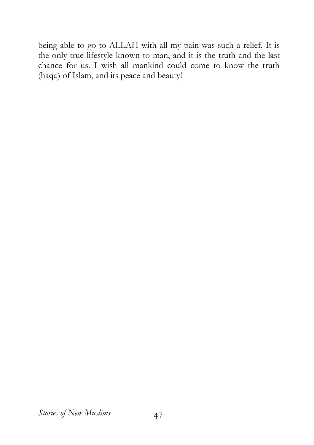being able to go to ALLAH with all my pain was such a relief. It is the only true lifestyle known to man, and it is the truth and the last chance for us. I wish all mankind could come to know the truth (haqq) of Islam, and its peace and beauty!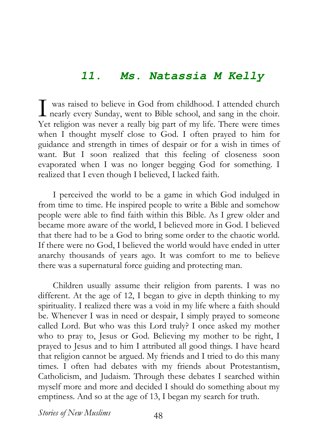# **11. Ms. Natassia M Kelly**

 was raised to believe in God from childhood. I attended church I was raised to believe in God from childhood. I attended church<br>nearly every Sunday, went to Bible school, and sang in the choir.<br>Not religion was never a really big part of my life. There were times Yet religion was never a really big part of my life. There were times when I thought myself close to God. I often prayed to him for guidance and strength in times of despair or for a wish in times of want. But I soon realized that this feeling of closeness soon evaporated when I was no longer begging God for something. I realized that I even though I believed, I lacked faith.

I perceived the world to be a game in which God indulged in from time to time. He inspired people to write a Bible and somehow people were able to find faith within this Bible. As I grew older and became more aware of the world, I believed more in God. I believed that there had to be a God to bring some order to the chaotic world. If there were no God, I believed the world would have ended in utter anarchy thousands of years ago. It was comfort to me to believe there was a supernatural force guiding and protecting man.

Children usually assume their religion from parents. I was no different. At the age of 12, I began to give in depth thinking to my spirituality. I realized there was a void in my life where a faith should be. Whenever I was in need or despair, I simply prayed to someone called Lord. But who was this Lord truly? I once asked my mother who to pray to, Jesus or God. Believing my mother to be right, I prayed to Jesus and to him I attributed all good things. I have heard that religion cannot be argued. My friends and I tried to do this many times. I often had debates with my friends about Protestantism, Catholicism, and Judaism. Through these debates I searched within myself more and more and decided I should do something about my emptiness. And so at the age of 13, I began my search for truth.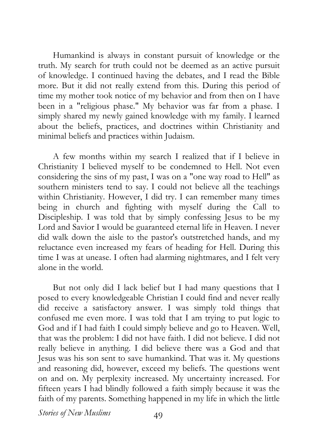Humankind is always in constant pursuit of knowledge or the truth. My search for truth could not be deemed as an active pursuit of knowledge. I continued having the debates, and I read the Bible more. But it did not really extend from this. During this period of time my mother took notice of my behavior and from then on I have been in a "religious phase." My behavior was far from a phase. I simply shared my newly gained knowledge with my family. I learned about the beliefs, practices, and doctrines within Christianity and minimal beliefs and practices within Judaism.

A few months within my search I realized that if I believe in Christianity I believed myself to be condemned to Hell. Not even considering the sins of my past, I was on a "one way road to Hell" as southern ministers tend to say. I could not believe all the teachings within Christianity. However, I did try. I can remember many times being in church and fighting with myself during the Call to Discipleship. I was told that by simply confessing Jesus to be my Lord and Savior I would be guaranteed eternal life in Heaven. I never did walk down the aisle to the pastor's outstretched hands, and my reluctance even increased my fears of heading for Hell. During this time I was at unease. I often had alarming nightmares, and I felt very alone in the world.

But not only did I lack belief but I had many questions that I posed to every knowledgeable Christian I could find and never really did receive a satisfactory answer. I was simply told things that confused me even more. I was told that I am trying to put logic to God and if I had faith I could simply believe and go to Heaven. Well, that was the problem: I did not have faith. I did not believe. I did not really believe in anything. I did believe there was a God and that Jesus was his son sent to save humankind. That was it. My questions and reasoning did, however, exceed my beliefs. The questions went on and on. My perplexity increased. My uncertainty increased. For fifteen years I had blindly followed a faith simply because it was the faith of my parents. Something happened in my life in which the little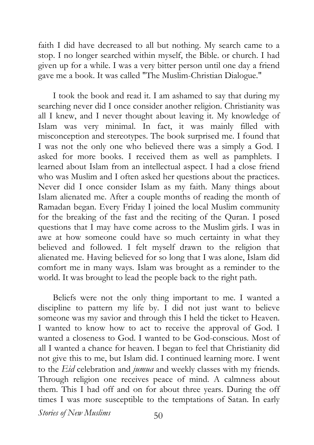faith I did have decreased to all but nothing. My search came to a stop. I no longer searched within myself, the Bible. or church. I had given up for a while. I was a very bitter person until one day a friend gave me a book. It was called "The Muslim-Christian Dialogue."

I took the book and read it. I am ashamed to say that during my searching never did I once consider another religion. Christianity was all I knew, and I never thought about leaving it. My knowledge of Islam was very minimal. In fact, it was mainly filled with misconception and stereotypes. The book surprised me. I found that I was not the only one who believed there was a simply a God. I asked for more books. I received them as well as pamphlets. I learned about Islam from an intellectual aspect. I had a close friend who was Muslim and I often asked her questions about the practices. Never did I once consider Islam as my faith. Many things about Islam alienated me. After a couple months of reading the month of Ramadan began. Every Friday I joined the local Muslim community for the breaking of the fast and the reciting of the Quran. I posed questions that I may have come across to the Muslim girls. I was in awe at how someone could have so much certainty in what they believed and followed. I felt myself drawn to the religion that alienated me. Having believed for so long that I was alone, Islam did comfort me in many ways. Islam was brought as a reminder to the world. It was brought to lead the people back to the right path.

Beliefs were not the only thing important to me. I wanted a discipline to pattern my life by. I did not just want to believe someone was my savior and through this I held the ticket to Heaven. I wanted to know how to act to receive the approval of God. I wanted a closeness to God. I wanted to be God-conscious. Most of all I wanted a chance for heaven. I began to feel that Christianity did not give this to me, but Islam did. I continued learning more. I went to the Eid celebration and jumua and weekly classes with my friends. Through religion one receives peace of mind. A calmness about them. This I had off and on for about three years. During the off times I was more susceptible to the temptations of Satan. In early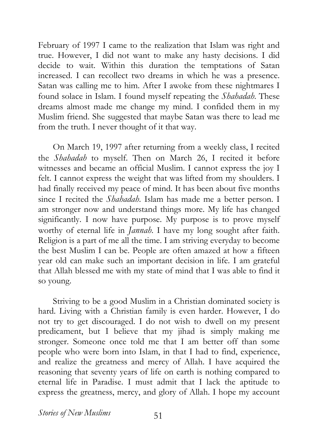February of 1997 I came to the realization that Islam was right and true. However, I did not want to make any hasty decisions. I did decide to wait. Within this duration the temptations of Satan increased. I can recollect two dreams in which he was a presence. Satan was calling me to him. After I awoke from these nightmares I found solace in Islam. I found myself repeating the Shahadah. These dreams almost made me change my mind. I confided them in my Muslim friend. She suggested that maybe Satan was there to lead me from the truth. I never thought of it that way.

On March 19, 1997 after returning from a weekly class, I recited the *Shahadah* to myself. Then on March 26, I recited it before witnesses and became an official Muslim. I cannot express the joy I felt. I cannot express the weight that was lifted from my shoulders. I had finally received my peace of mind. It has been about five months since I recited the *Shahadah*. Islam has made me a better person. I am stronger now and understand things more. My life has changed significantly. I now have purpose. My purpose is to prove myself worthy of eternal life in *Jannah*. I have my long sought after faith. Religion is a part of me all the time. I am striving everyday to become the best Muslim I can be. People are often amazed at how a fifteen year old can make such an important decision in life. I am grateful that Allah blessed me with my state of mind that I was able to find it so young.

Striving to be a good Muslim in a Christian dominated society is hard. Living with a Christian family is even harder. However, I do not try to get discouraged. I do not wish to dwell on my present predicament, but I believe that my jihad is simply making me stronger. Someone once told me that I am better off than some people who were born into Islam, in that I had to find, experience, and realize the greatness and mercy of Allah. I have acquired the reasoning that seventy years of life on earth is nothing compared to eternal life in Paradise. I must admit that I lack the aptitude to express the greatness, mercy, and glory of Allah. I hope my account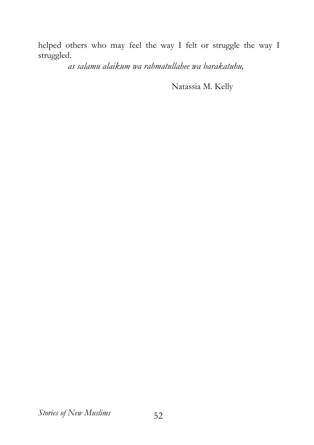helped others who may feel the way I felt or struggle the way I struggled.

as salamu alaikum wa rahmatullahee wa barakatuhu,

Natassia M. Kelly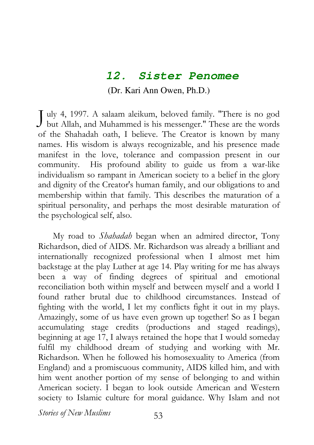# **12. Sister Penomee**

#### (Dr. Kari Ann Owen, Ph.D.)

uly 4, 1997. A salaam aleikum, beloved family. "There is no god J uly 4, 1997. A salaam aleikum, beloved family. "There is no god but Allah, and Muhammed is his messenger." These are the words of the Shahadah oath, I believe. The Creator is known by many names. His wisdom is always recognizable, and his presence made manifest in the love, tolerance and compassion present in our community. His profound ability to guide us from a war-like individualism so rampant in American society to a belief in the glory and dignity of the Creator's human family, and our obligations to and membership within that family. This describes the maturation of a spiritual personality, and perhaps the most desirable maturation of the psychological self, also.

My road to Shahadah began when an admired director, Tony Richardson, died of AIDS. Mr. Richardson was already a brilliant and internationally recognized professional when I almost met him backstage at the play Luther at age 14. Play writing for me has always been a way of finding degrees of spiritual and emotional reconciliation both within myself and between myself and a world I found rather brutal due to childhood circumstances. Instead of fighting with the world, I let my conflicts fight it out in my plays. Amazingly, some of us have even grown up together! So as I began accumulating stage credits (productions and staged readings), beginning at age 17, I always retained the hope that I would someday fulfil my childhood dream of studying and working with Mr. Richardson. When he followed his homosexuality to America (from England) and a promiscuous community, AIDS killed him, and with him went another portion of my sense of belonging to and within American society. I began to look outside American and Western society to Islamic culture for moral guidance. Why Islam and not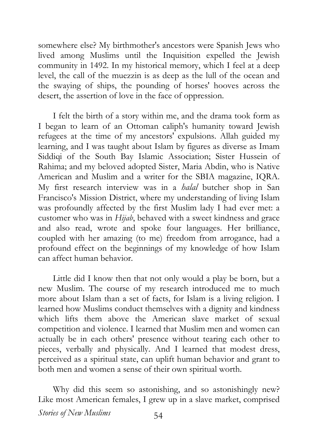somewhere else? My birthmother's ancestors were Spanish Jews who lived among Muslims until the Inquisition expelled the Jewish community in 1492. In my historical memory, which I feel at a deep level, the call of the muezzin is as deep as the lull of the ocean and the swaying of ships, the pounding of horses' hooves across the desert, the assertion of love in the face of oppression.

I felt the birth of a story within me, and the drama took form as I began to learn of an Ottoman caliph's humanity toward Jewish refugees at the time of my ancestors' expulsions. Allah guided my learning, and I was taught about Islam by figures as diverse as Imam Siddiqi of the South Bay Islamic Association; Sister Hussein of Rahima; and my beloved adopted Sister, Maria Abdin, who is Native American and Muslim and a writer for the SBIA magazine, IQRA. My first research interview was in a *halal* butcher shop in San Francisco's Mission District, where my understanding of living Islam was profoundly affected by the first Muslim lady I had ever met: a customer who was in *Hijab*, behaved with a sweet kindness and grace and also read, wrote and spoke four languages. Her brilliance, coupled with her amazing (to me) freedom from arrogance, had a profound effect on the beginnings of my knowledge of how Islam can affect human behavior.

Little did I know then that not only would a play be born, but a new Muslim. The course of my research introduced me to much more about Islam than a set of facts, for Islam is a living religion. I learned how Muslims conduct themselves with a dignity and kindness which lifts them above the American slave market of sexual competition and violence. I learned that Muslim men and women can actually be in each others' presence without tearing each other to pieces, verbally and physically. And I learned that modest dress, perceived as a spiritual state, can uplift human behavior and grant to both men and women a sense of their own spiritual worth.

Stories of New Muslims 54 Why did this seem so astonishing, and so astonishingly new? Like most American females, I grew up in a slave market, comprised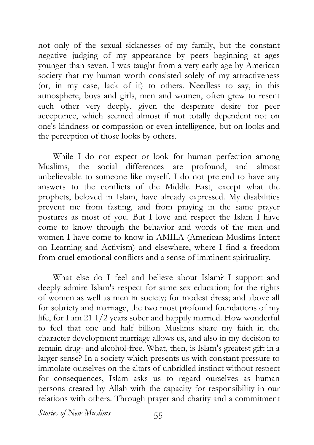not only of the sexual sicknesses of my family, but the constant negative judging of my appearance by peers beginning at ages younger than seven. I was taught from a very early age by American society that my human worth consisted solely of my attractiveness (or, in my case, lack of it) to others. Needless to say, in this atmosphere, boys and girls, men and women, often grew to resent each other very deeply, given the desperate desire for peer acceptance, which seemed almost if not totally dependent not on one's kindness or compassion or even intelligence, but on looks and the perception of those looks by others.

While I do not expect or look for human perfection among Muslims, the social differences are profound, and almost unbelievable to someone like myself. I do not pretend to have any answers to the conflicts of the Middle East, except what the prophets, beloved in Islam, have already expressed. My disabilities prevent me from fasting, and from praying in the same prayer postures as most of you. But I love and respect the Islam I have come to know through the behavior and words of the men and women I have come to know in AMILA (American Muslims Intent on Learning and Activism) and elsewhere, where I find a freedom from cruel emotional conflicts and a sense of imminent spirituality.

What else do I feel and believe about Islam? I support and deeply admire Islam's respect for same sex education; for the rights of women as well as men in society; for modest dress; and above all for sobriety and marriage, the two most profound foundations of my life, for I am 21 1/2 years sober and happily married. How wonderful to feel that one and half billion Muslims share my faith in the character development marriage allows us, and also in my decision to remain drug- and alcohol-free. What, then, is Islam's greatest gift in a larger sense? In a society which presents us with constant pressure to immolate ourselves on the altars of unbridled instinct without respect for consequences, Islam asks us to regard ourselves as human persons created by Allah with the capacity for responsibility in our relations with others. Through prayer and charity and a commitment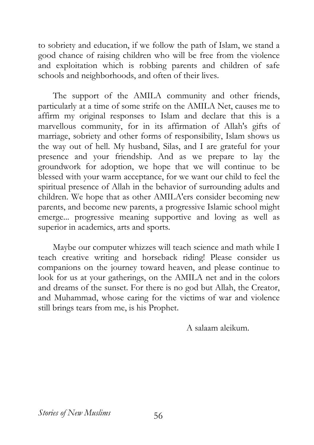to sobriety and education, if we follow the path of Islam, we stand a good chance of raising children who will be free from the violence and exploitation which is robbing parents and children of safe schools and neighborhoods, and often of their lives.

The support of the AMILA community and other friends, particularly at a time of some strife on the AMILA Net, causes me to affirm my original responses to Islam and declare that this is a marvellous community, for in its affirmation of Allah's gifts of marriage, sobriety and other forms of responsibility, Islam shows us the way out of hell. My husband, Silas, and I are grateful for your presence and your friendship. And as we prepare to lay the groundwork for adoption, we hope that we will continue to be blessed with your warm acceptance, for we want our child to feel the spiritual presence of Allah in the behavior of surrounding adults and children. We hope that as other AMILA'ers consider becoming new parents, and become new parents, a progressive Islamic school might emerge... progressive meaning supportive and loving as well as superior in academics, arts and sports.

Maybe our computer whizzes will teach science and math while I teach creative writing and horseback riding! Please consider us companions on the journey toward heaven, and please continue to look for us at your gatherings, on the AMILA net and in the colors and dreams of the sunset. For there is no god but Allah, the Creator, and Muhammad, whose caring for the victims of war and violence still brings tears from me, is his Prophet.

A salaam aleikum.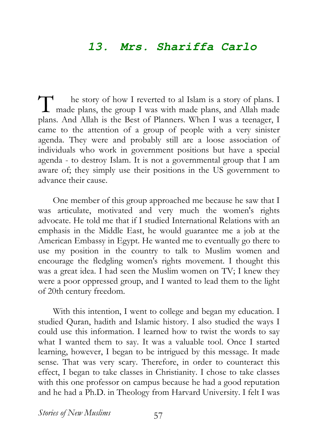# **13. Mrs. Shariffa Carlo**

he story of how I reverted to al Islam is a story of plans. I made plans, the group I was with made plans, and Allah made The story of how I reverted to al Islam is a story of plans. I made plans, the group I was with made plans, and Allah made plans. And Allah is the Best of Planners. When I was a teenager, I came to the attention of a group of people with a very sinister agenda. They were and probably still are a loose association of individuals who work in government positions but have a special agenda - to destroy Islam. It is not a governmental group that I am aware of; they simply use their positions in the US government to advance their cause.

One member of this group approached me because he saw that I was articulate, motivated and very much the women's rights advocate. He told me that if I studied International Relations with an emphasis in the Middle East, he would guarantee me a job at the American Embassy in Egypt. He wanted me to eventually go there to use my position in the country to talk to Muslim women and encourage the fledgling women's rights movement. I thought this was a great idea. I had seen the Muslim women on TV; I knew they were a poor oppressed group, and I wanted to lead them to the light of 20th century freedom.

With this intention, I went to college and began my education. I studied Quran, hadith and Islamic history. I also studied the ways I could use this information. I learned how to twist the words to say what I wanted them to say. It was a valuable tool. Once I started learning, however, I began to be intrigued by this message. It made sense. That was very scary. Therefore, in order to counteract this effect, I began to take classes in Christianity. I chose to take classes with this one professor on campus because he had a good reputation and he had a Ph.D. in Theology from Harvard University. I felt I was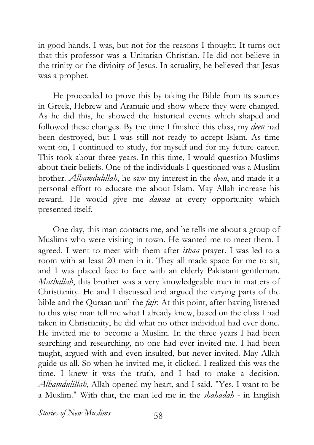in good hands. I was, but not for the reasons I thought. It turns out that this professor was a Unitarian Christian. He did not believe in the trinity or the divinity of Jesus. In actuality, he believed that Jesus was a prophet.

He proceeded to prove this by taking the Bible from its sources in Greek, Hebrew and Aramaic and show where they were changed. As he did this, he showed the historical events which shaped and followed these changes. By the time I finished this class, my *deen* had been destroyed, but I was still not ready to accept Islam. As time went on, I continued to study, for myself and for my future career. This took about three years. In this time, I would question Muslims about their beliefs. One of the individuals I questioned was a Muslim brother. Alhamdulillah, he saw my interest in the deen, and made it a personal effort to educate me about Islam. May Allah increase his reward. He would give me *dawaa* at every opportunity which presented itself.

One day, this man contacts me, and he tells me about a group of Muslims who were visiting in town. He wanted me to meet them. I agreed. I went to meet with them after ishaa prayer. I was led to a room with at least 20 men in it. They all made space for me to sit, and I was placed face to face with an elderly Pakistani gentleman. Mashallah, this brother was a very knowledgeable man in matters of Christianity. He and I discussed and argued the varying parts of the bible and the Quraan until the *fajr*. At this point, after having listened to this wise man tell me what I already knew, based on the class I had taken in Christianity, he did what no other individual had ever done. He invited me to become a Muslim. In the three years I had been searching and researching, no one had ever invited me. I had been taught, argued with and even insulted, but never invited. May Allah guide us all. So when he invited me, it clicked. I realized this was the time. I knew it was the truth, and I had to make a decision. Alhamdulillah, Allah opened my heart, and I said, "Yes. I want to be a Muslim." With that, the man led me in the shahadah - in English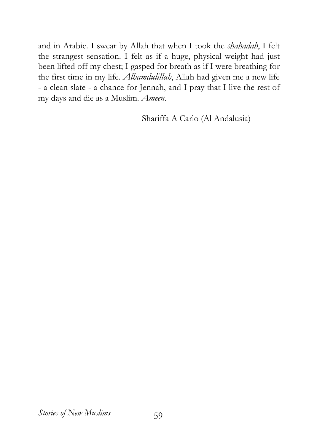and in Arabic. I swear by Allah that when I took the shahadah, I felt the strangest sensation. I felt as if a huge, physical weight had just been lifted off my chest; I gasped for breath as if I were breathing for the first time in my life. Alhamdulillah, Allah had given me a new life - a clean slate - a chance for Jennah, and I pray that I live the rest of my days and die as a Muslim. Ameen.

Shariffa A Carlo (Al Andalusia)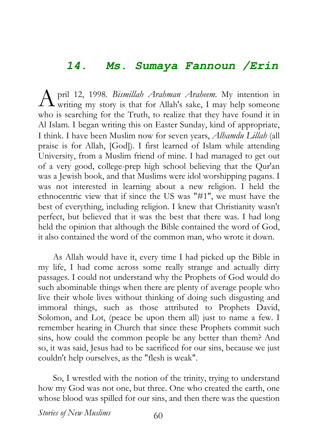#### **14. Ms. Sumaya Fannoun /Erin**

pril 12, 1998. Bismillah Arahman Araheem. My intention in A pril 12, 1998. Bismillah Arahman Araheem. My intention in<br>writing my story is that for Allah's sake, I may help someone who is searching for the Truth, to realize that they have found it in Al Islam. I began writing this on Easter Sunday, kind of appropriate, I think. I have been Muslim now for seven years, Alhamdu Lillah (all praise is for Allah, [God]). I first learned of Islam while attending University, from a Muslim friend of mine. I had managed to get out of a very good, college-prep high school believing that the Qur'an was a Jewish book, and that Muslims were idol worshipping pagans. I was not interested in learning about a new religion. I held the ethnocentric view that if since the US was "#1", we must have the best of everything, including religion. I knew that Christianity wasn't perfect, but believed that it was the best that there was. I had long held the opinion that although the Bible contained the word of God, it also contained the word of the common man, who wrote it down.

As Allah would have it, every time I had picked up the Bible in my life, I had come across some really strange and actually dirty passages. I could not understand why the Prophets of God would do such abominable things when there are plenty of average people who live their whole lives without thinking of doing such disgusting and immoral things, such as those attributed to Prophets David, Solomon, and Lot, (peace be upon them all) just to name a few. I remember hearing in Church that since these Prophets commit such sins, how could the common people be any better than them? And so, it was said, Jesus had to be sacrificed for our sins, because we just couldn't help ourselves, as the "flesh is weak".

So, I wrestled with the notion of the trinity, trying to understand how my God was not one, but three. One who created the earth, one whose blood was spilled for our sins, and then there was the question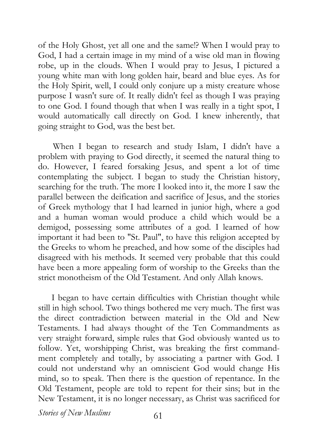of the Holy Ghost, yet all one and the same!? When I would pray to God, I had a certain image in my mind of a wise old man in flowing robe, up in the clouds. When I would pray to Jesus, I pictured a young white man with long golden hair, beard and blue eyes. As for the Holy Spirit, well, I could only conjure up a misty creature whose purpose I wasn't sure of. It really didn't feel as though I was praying to one God. I found though that when I was really in a tight spot, I would automatically call directly on God. I knew inherently, that going straight to God, was the best bet.

When I began to research and study Islam, I didn't have a problem with praying to God directly, it seemed the natural thing to do. However, I feared forsaking Jesus, and spent a lot of time contemplating the subject. I began to study the Christian history, searching for the truth. The more I looked into it, the more I saw the parallel between the deification and sacrifice of Jesus, and the stories of Greek mythology that I had learned in junior high, where a god and a human woman would produce a child which would be a demigod, possessing some attributes of a god. I learned of how important it had been to "St. Paul", to have this religion accepted by the Greeks to whom he preached, and how some of the disciples had disagreed with his methods. It seemed very probable that this could have been a more appealing form of worship to the Greeks than the strict monotheism of the Old Testament. And only Allah knows.

I began to have certain difficulties with Christian thought while still in high school. Two things bothered me very much. The first was the direct contradiction between material in the Old and New Testaments. I had always thought of the Ten Commandments as very straight forward, simple rules that God obviously wanted us to follow. Yet, worshipping Christ, was breaking the first commandment completely and totally, by associating a partner with God. I could not understand why an omniscient God would change His mind, so to speak. Then there is the question of repentance. In the Old Testament, people are told to repent for their sins; but in the New Testament, it is no longer necessary, as Christ was sacrificed for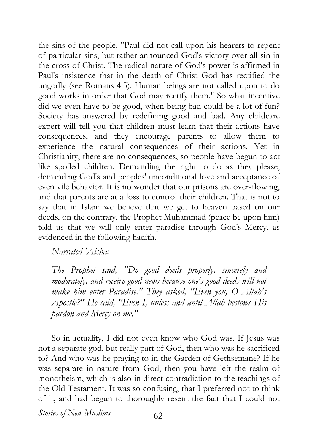the sins of the people. "Paul did not call upon his hearers to repent of particular sins, but rather announced God's victory over all sin in the cross of Christ. The radical nature of God's power is affirmed in Paul's insistence that in the death of Christ God has rectified the ungodly (see Romans 4:5). Human beings are not called upon to do good works in order that God may rectify them." So what incentive did we even have to be good, when being bad could be a lot of fun? Society has answered by redefining good and bad. Any childcare expert will tell you that children must learn that their actions have consequences, and they encourage parents to allow them to experience the natural consequences of their actions. Yet in Christianity, there are no consequences, so people have begun to act like spoiled children. Demanding the right to do as they please, demanding God's and peoples' unconditional love and acceptance of even vile behavior. It is no wonder that our prisons are over-flowing, and that parents are at a loss to control their children. That is not to say that in Islam we believe that we get to heaven based on our deeds, on the contrary, the Prophet Muhammad (peace be upon him) told us that we will only enter paradise through God's Mercy, as evidenced in the following hadith.

Narrated 'Aisha:

The Prophet said, "Do good deeds properly, sincerely and moderately, and receive good news because one's good deeds will not make him enter Paradise." They asked, "Even you, O Allah's Apostle?" He said, "Even I, unless and until Allah bestows His pardon and Mercy on me."

So in actuality, I did not even know who God was. If Jesus was not a separate god, but really part of God, then who was he sacrificed to? And who was he praying to in the Garden of Gethsemane? If he was separate in nature from God, then you have left the realm of monotheism, which is also in direct contradiction to the teachings of the Old Testament. It was so confusing, that I preferred not to think of it, and had begun to thoroughly resent the fact that I could not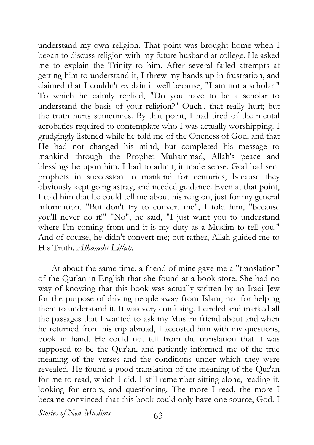understand my own religion. That point was brought home when I began to discuss religion with my future husband at college. He asked me to explain the Trinity to him. After several failed attempts at getting him to understand it, I threw my hands up in frustration, and claimed that I couldn't explain it well because, "I am not a scholar!" To which he calmly replied, "Do you have to be a scholar to understand the basis of your religion?" Ouch!, that really hurt; but the truth hurts sometimes. By that point, I had tired of the mental acrobatics required to contemplate who I was actually worshipping. I grudgingly listened while he told me of the Oneness of God, and that He had not changed his mind, but completed his message to mankind through the Prophet Muhammad, Allah's peace and blessings be upon him. I had to admit, it made sense. God had sent prophets in succession to mankind for centuries, because they obviously kept going astray, and needed guidance. Even at that point, I told him that he could tell me about his religion, just for my general information. "But don't try to convert me", I told him, "because you'll never do it!" "No", he said, "I just want you to understand where I'm coming from and it is my duty as a Muslim to tell you." And of course, he didn't convert me; but rather, Allah guided me to His Truth. Alhamdu Lillah.

At about the same time, a friend of mine gave me a "translation" of the Qur'an in English that she found at a book store. She had no way of knowing that this book was actually written by an Iraqi Jew for the purpose of driving people away from Islam, not for helping them to understand it. It was very confusing. I circled and marked all the passages that I wanted to ask my Muslim friend about and when he returned from his trip abroad, I accosted him with my questions, book in hand. He could not tell from the translation that it was supposed to be the Qur'an, and patiently informed me of the true meaning of the verses and the conditions under which they were revealed. He found a good translation of the meaning of the Qur'an for me to read, which I did. I still remember sitting alone, reading it, looking for errors, and questioning. The more I read, the more I became convinced that this book could only have one source, God. I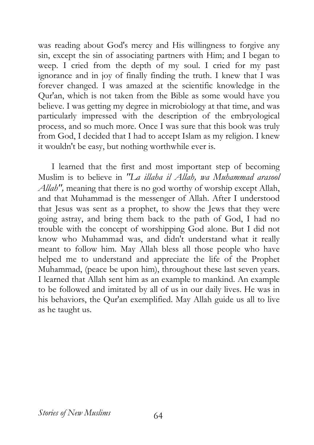was reading about God's mercy and His willingness to forgive any sin, except the sin of associating partners with Him; and I began to weep. I cried from the depth of my soul. I cried for my past ignorance and in joy of finally finding the truth. I knew that I was forever changed. I was amazed at the scientific knowledge in the Qur'an, which is not taken from the Bible as some would have you believe. I was getting my degree in microbiology at that time, and was particularly impressed with the description of the embryological process, and so much more. Once I was sure that this book was truly from God, I decided that I had to accept Islam as my religion. I knew it wouldn't be easy, but nothing worthwhile ever is.

I learned that the first and most important step of becoming Muslim is to believe in "La illaha il Allah, wa Muhammad arasool Allah'', meaning that there is no god worthy of worship except Allah, and that Muhammad is the messenger of Allah. After I understood that Jesus was sent as a prophet, to show the Jews that they were going astray, and bring them back to the path of God, I had no trouble with the concept of worshipping God alone. But I did not know who Muhammad was, and didn't understand what it really meant to follow him. May Allah bless all those people who have helped me to understand and appreciate the life of the Prophet Muhammad, (peace be upon him), throughout these last seven years. I learned that Allah sent him as an example to mankind. An example to be followed and imitated by all of us in our daily lives. He was in his behaviors, the Qur'an exemplified. May Allah guide us all to live as he taught us.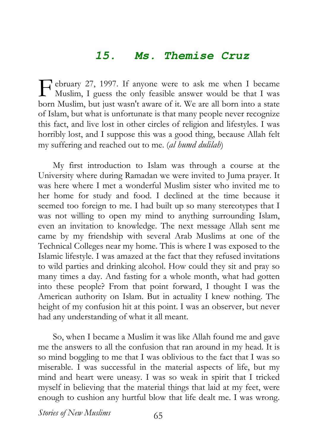#### **15. Ms. Themise Cruz**

ebruary 27, 1997. If anyone were to ask me when I became February 27, 1997. If anyone were to ask me when I became<br>Muslim, I guess the only feasible answer would be that I was<br>have Muslim by instrument arrange of it. We are all have into a state born Muslim, but just wasn't aware of it. We are all born into a state of Islam, but what is unfortunate is that many people never recognize this fact, and live lost in other circles of religion and lifestyles. I was horribly lost, and I suppose this was a good thing, because Allah felt my suffering and reached out to me. *(al humd dulilah)* 

My first introduction to Islam was through a course at the University where during Ramadan we were invited to Juma prayer. It was here where I met a wonderful Muslim sister who invited me to her home for study and food. I declined at the time because it seemed too foreign to me. I had built up so many stereotypes that I was not willing to open my mind to anything surrounding Islam, even an invitation to knowledge. The next message Allah sent me came by my friendship with several Arab Muslims at one of the Technical Colleges near my home. This is where I was exposed to the Islamic lifestyle. I was amazed at the fact that they refused invitations to wild parties and drinking alcohol. How could they sit and pray so many times a day. And fasting for a whole month, what had gotten into these people? From that point forward, I thought I was the American authority on Islam. But in actuality I knew nothing. The height of my confusion hit at this point. I was an observer, but never had any understanding of what it all meant.

So, when I became a Muslim it was like Allah found me and gave me the answers to all the confusion that ran around in my head. It is so mind boggling to me that I was oblivious to the fact that I was so miserable. I was successful in the material aspects of life, but my mind and heart were uneasy. I was so weak in spirit that I tricked myself in believing that the material things that laid at my feet, were enough to cushion any hurtful blow that life dealt me. I was wrong.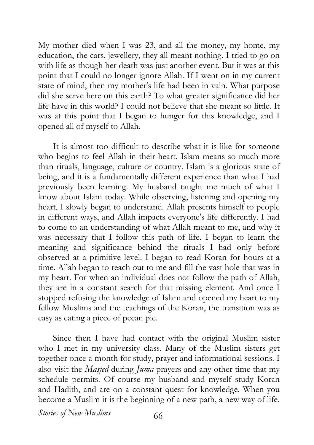My mother died when I was 23, and all the money, my home, my education, the cars, jewellery, they all meant nothing. I tried to go on with life as though her death was just another event. But it was at this point that I could no longer ignore Allah. If I went on in my current state of mind, then my mother's life had been in vain. What purpose did she serve here on this earth? To what greater significance did her life have in this world? I could not believe that she meant so little. It was at this point that I began to hunger for this knowledge, and I opened all of myself to Allah.

It is almost too difficult to describe what it is like for someone who begins to feel Allah in their heart. Islam means so much more than rituals, language, culture or country. Islam is a glorious state of being, and it is a fundamentally different experience than what I had previously been learning. My husband taught me much of what I know about Islam today. While observing, listening and opening my heart, I slowly began to understand. Allah presents himself to people in different ways, and Allah impacts everyone's life differently. I had to come to an understanding of what Allah meant to me, and why it was necessary that I follow this path of life. I began to learn the meaning and significance behind the rituals I had only before observed at a primitive level. I began to read Koran for hours at a time. Allah began to reach out to me and fill the vast hole that was in my heart. For when an individual does not follow the path of Allah, they are in a constant search for that missing element. And once I stopped refusing the knowledge of Islam and opened my heart to my fellow Muslims and the teachings of the Koran, the transition was as easy as eating a piece of pecan pie.

Since then I have had contact with the original Muslim sister who I met in my university class. Many of the Muslim sisters get together once a month for study, prayer and informational sessions. I also visit the *Masjed* during *Juma* prayers and any other time that my schedule permits. Of course my husband and myself study Koran and Hadith, and are on a constant quest for knowledge. When you become a Muslim it is the beginning of a new path, a new way of life.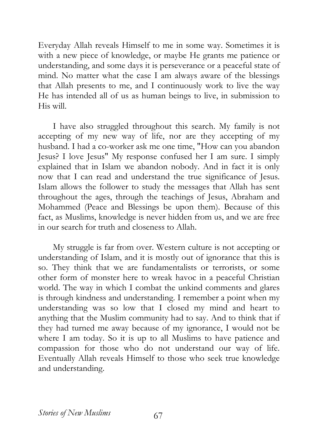Everyday Allah reveals Himself to me in some way. Sometimes it is with a new piece of knowledge, or maybe He grants me patience or understanding, and some days it is perseverance or a peaceful state of mind. No matter what the case I am always aware of the blessings that Allah presents to me, and I continuously work to live the way He has intended all of us as human beings to live, in submission to His will.

I have also struggled throughout this search. My family is not accepting of my new way of life, nor are they accepting of my husband. I had a co-worker ask me one time, "How can you abandon Jesus? I love Jesus" My response confused her I am sure. I simply explained that in Islam we abandon nobody. And in fact it is only now that I can read and understand the true significance of Jesus. Islam allows the follower to study the messages that Allah has sent throughout the ages, through the teachings of Jesus, Abraham and Mohammed (Peace and Blessings be upon them). Because of this fact, as Muslims, knowledge is never hidden from us, and we are free in our search for truth and closeness to Allah.

My struggle is far from over. Western culture is not accepting or understanding of Islam, and it is mostly out of ignorance that this is so. They think that we are fundamentalists or terrorists, or some other form of monster here to wreak havoc in a peaceful Christian world. The way in which I combat the unkind comments and glares is through kindness and understanding. I remember a point when my understanding was so low that I closed my mind and heart to anything that the Muslim community had to say. And to think that if they had turned me away because of my ignorance, I would not be where I am today. So it is up to all Muslims to have patience and compassion for those who do not understand our way of life. Eventually Allah reveals Himself to those who seek true knowledge and understanding.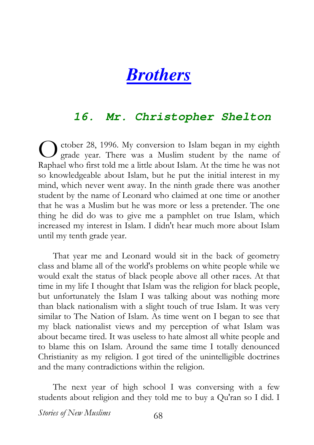# *Brothers*

#### **16. Mr. Christopher Shelton**

ctober 28, 1996. My conversion to Islam began in my eighth grade year. There was a Muslim student by the name of Cober 28, 1996. My conversion to Islam began in my eighth grade year. There was a Muslim student by the name of Raphael who first told me a little about Islam. At the time he was not so knowledgeable about Islam, but he put the initial interest in my mind, which never went away. In the ninth grade there was another student by the name of Leonard who claimed at one time or another that he was a Muslim but he was more or less a pretender. The one thing he did do was to give me a pamphlet on true Islam, which increased my interest in Islam. I didn't hear much more about Islam until my tenth grade year.

That year me and Leonard would sit in the back of geometry class and blame all of the world's problems on white people while we would exalt the status of black people above all other races. At that time in my life I thought that Islam was the religion for black people, but unfortunately the Islam I was talking about was nothing more than black nationalism with a slight touch of true Islam. It was very similar to The Nation of Islam. As time went on I began to see that my black nationalist views and my perception of what Islam was about became tired. It was useless to hate almost all white people and to blame this on Islam. Around the same time I totally denounced Christianity as my religion. I got tired of the unintelligible doctrines and the many contradictions within the religion.

The next year of high school I was conversing with a few students about religion and they told me to buy a Qu'ran so I did. I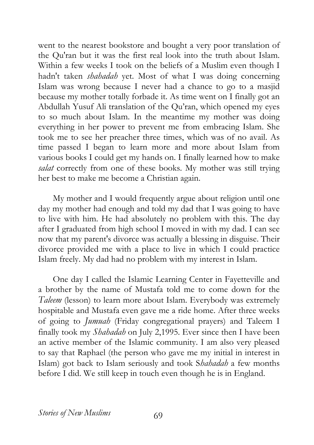went to the nearest bookstore and bought a very poor translation of the Qu'ran but it was the first real look into the truth about Islam. Within a few weeks I took on the beliefs of a Muslim even though I hadn't taken *shahadah* yet. Most of what I was doing concerning Islam was wrong because I never had a chance to go to a masjid because my mother totally forbade it. As time went on I finally got an Abdullah Yusuf Ali translation of the Qu'ran, which opened my eyes to so much about Islam. In the meantime my mother was doing everything in her power to prevent me from embracing Islam. She took me to see her preacher three times, which was of no avail. As time passed I began to learn more and more about Islam from various books I could get my hands on. I finally learned how to make salat correctly from one of these books. My mother was still trying her best to make me become a Christian again.

My mother and I would frequently argue about religion until one day my mother had enough and told my dad that I was going to have to live with him. He had absolutely no problem with this. The day after I graduated from high school I moved in with my dad. I can see now that my parent's divorce was actually a blessing in disguise. Their divorce provided me with a place to live in which I could practice Islam freely. My dad had no problem with my interest in Islam.

One day I called the Islamic Learning Center in Fayetteville and a brother by the name of Mustafa told me to come down for the Taleem (lesson) to learn more about Islam. Everybody was extremely hospitable and Mustafa even gave me a ride home. After three weeks of going to Jumuah (Friday congregational prayers) and Taleem I finally took my Shahadah on July 2,1995. Ever since then I have been an active member of the Islamic community. I am also very pleased to say that Raphael (the person who gave me my initial in interest in Islam) got back to Islam seriously and took Shahadah a few months before I did. We still keep in touch even though he is in England.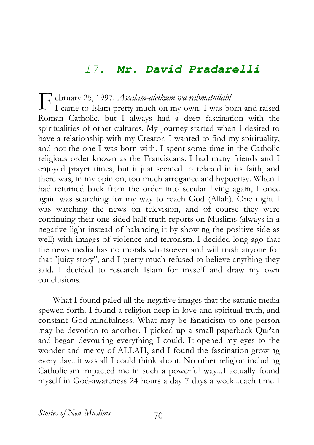# 17. **Mr. David Pradarelli**

February 25, 1997. Assalam-aleikum wa rahmatullah!<br>I came to Islam pretty much on my own. I was bo I came to Islam pretty much on my own. I was born and raised Roman Catholic, but I always had a deep fascination with the spiritualities of other cultures. My Journey started when I desired to have a relationship with my Creator. I wanted to find my spirituality, and not the one I was born with. I spent some time in the Catholic religious order known as the Franciscans. I had many friends and I enjoyed prayer times, but it just seemed to relaxed in its faith, and there was, in my opinion, too much arrogance and hypocrisy. When I had returned back from the order into secular living again, I once again was searching for my way to reach God (Allah). One night I was watching the news on television, and of course they were continuing their one-sided half-truth reports on Muslims (always in a negative light instead of balancing it by showing the positive side as well) with images of violence and terrorism. I decided long ago that the news media has no morals whatsoever and will trash anyone for that "juicy story", and I pretty much refused to believe anything they said. I decided to research Islam for myself and draw my own conclusions.

What I found paled all the negative images that the satanic media spewed forth. I found a religion deep in love and spiritual truth, and constant God-mindfulness. What may be fanaticism to one person may be devotion to another. I picked up a small paperback Qur'an and began devouring everything I could. It opened my eyes to the wonder and mercy of ALLAH, and I found the fascination growing every day...it was all I could think about. No other religion including Catholicism impacted me in such a powerful way...I actually found myself in God-awareness 24 hours a day 7 days a week...each time I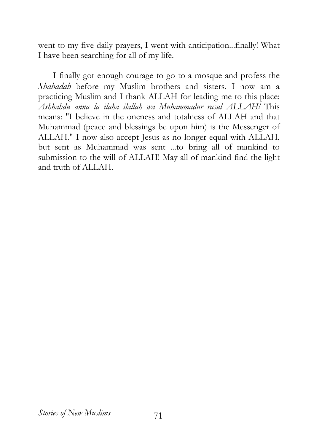went to my five daily prayers, I went with anticipation...finally! What I have been searching for all of my life.

I finally got enough courage to go to a mosque and profess the Shahadah before my Muslim brothers and sisters. I now am a practicing Muslim and I thank ALLAH for leading me to this place: Ashhahdu anna la ilaha ilallah wa Muhammadur rasul ALLAH! This means: "I believe in the oneness and totalness of ALLAH and that Muhammad (peace and blessings be upon him) is the Messenger of ALLAH." I now also accept Jesus as no longer equal with ALLAH, but sent as Muhammad was sent ...to bring all of mankind to submission to the will of ALLAH! May all of mankind find the light and truth of ALLAH.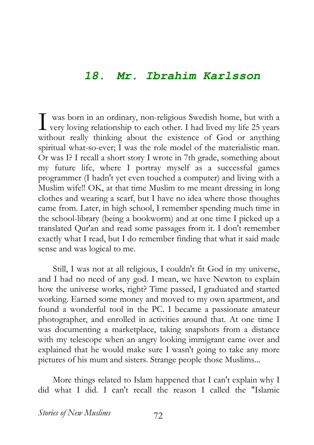## **18. Mr. Ibrahim Karlsson**

 was born in an ordinary, non-religious Swedish home, but with a I was born in an ordinary, non-religious Swedish home, but with a very loving relationship to each other. I had lived my life 25 years without really thinking about the existence of God or anything spiritual what-so-ever; I was the role model of the materialistic man. Or was I? I recall a short story I wrote in 7th grade, something about my future life, where I portray myself as a successful games programmer (I hadn't yet even touched a computer) and living with a Muslim wife!! OK, at that time Muslim to me meant dressing in long clothes and wearing a scarf, but I have no idea where those thoughts came from. Later, in high school, I remember spending much time in the school-library (being a bookworm) and at one time I picked up a translated Qur'an and read some passages from it. I don't remember exactly what I read, but I do remember finding that what it said made sense and was logical to me.

Still, I was not at all religious, I couldn't fit God in my universe, and I had no need of any god. I mean, we have Newton to explain how the universe works, right? Time passed, I graduated and started working. Earned some money and moved to my own apartment, and found a wonderful tool in the PC. I became a passionate amateur photographer, and enrolled in activities around that. At one time I was documenting a marketplace, taking snapshots from a distance with my telescope when an angry looking immigrant came over and explained that he would make sure I wasn't going to take any more pictures of his mum and sisters. Strange people those Muslims...

More things related to Islam happened that I can't explain why I did what I did. I can't recall the reason I called the "Islamic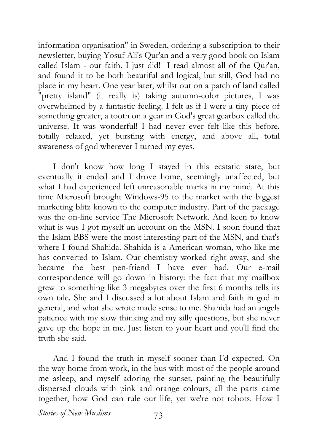information organisation" in Sweden, ordering a subscription to their newsletter, buying Yosuf Ali's Qur'an and a very good book on Islam called Islam - our faith. I just did! I read almost all of the Qur'an, and found it to be both beautiful and logical, but still, God had no place in my heart. One year later, whilst out on a patch of land called "pretty island" (it really is) taking autumn-color pictures, I was overwhelmed by a fantastic feeling. I felt as if I were a tiny piece of something greater, a tooth on a gear in God's great gearbox called the universe. It was wonderful! I had never ever felt like this before, totally relaxed, yet bursting with energy, and above all, total awareness of god wherever I turned my eyes.

I don't know how long I stayed in this ecstatic state, but eventually it ended and I drove home, seemingly unaffected, but what I had experienced left unreasonable marks in my mind. At this time Microsoft brought Windows-95 to the market with the biggest marketing blitz known to the computer industry. Part of the package was the on-line service The Microsoft Network. And keen to know what is was I got myself an account on the MSN. I soon found that the Islam BBS were the most interesting part of the MSN, and that's where I found Shahida. Shahida is a American woman, who like me has converted to Islam. Our chemistry worked right away, and she became the best pen-friend I have ever had. Our e-mail correspondence will go down in history: the fact that my mailbox grew to something like 3 megabytes over the first 6 months tells its own tale. She and I discussed a lot about Islam and faith in god in general, and what she wrote made sense to me. Shahida had an angels patience with my slow thinking and my silly questions, but she never gave up the hope in me. Just listen to your heart and you'll find the truth she said.

And I found the truth in myself sooner than I'd expected. On the way home from work, in the bus with most of the people around me asleep, and myself adoring the sunset, painting the beautifully dispersed clouds with pink and orange colours, all the parts came together, how God can rule our life, yet we're not robots. How I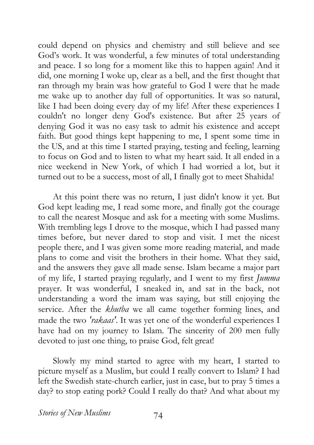could depend on physics and chemistry and still believe and see God's work. It was wonderful, a few minutes of total understanding and peace. I so long for a moment like this to happen again! And it did, one morning I woke up, clear as a bell, and the first thought that ran through my brain was how grateful to God I were that he made me wake up to another day full of opportunities. It was so natural, like I had been doing every day of my life! After these experiences I couldn't no longer deny God's existence. But after 25 years of denying God it was no easy task to admit his existence and accept faith. But good things kept happening to me, I spent some time in the US, and at this time I started praying, testing and feeling, learning to focus on God and to listen to what my heart said. It all ended in a nice weekend in New York, of which I had worried a lot, but it turned out to be a success, most of all, I finally got to meet Shahida!

At this point there was no return, I just didn't know it yet. But God kept leading me, I read some more, and finally got the courage to call the nearest Mosque and ask for a meeting with some Muslims. With trembling legs I drove to the mosque, which I had passed many times before, but never dared to stop and visit. I met the nicest people there, and I was given some more reading material, and made plans to come and visit the brothers in their home. What they said, and the answers they gave all made sense. Islam became a major part of my life, I started praying regularly, and I went to my first Jumma prayer. It was wonderful, I sneaked in, and sat in the back, not understanding a word the imam was saying, but still enjoying the service. After the *khutba* we all came together forming lines, and made the two 'rakaas'. It was yet one of the wonderful experiences I have had on my journey to Islam. The sincerity of 200 men fully devoted to just one thing, to praise God, felt great!

Slowly my mind started to agree with my heart, I started to picture myself as a Muslim, but could I really convert to Islam? I had left the Swedish state-church earlier, just in case, but to pray 5 times a day? to stop eating pork? Could I really do that? And what about my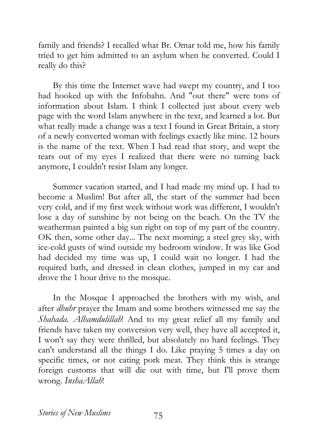family and friends? I recalled what Br. Omar told me, how his family tried to get him admitted to an asylum when he converted. Could I really do this?

By this time the Internet wave had swept my country, and I too had hooked up with the Infobahn. And "out there" were tons of information about Islam. I think I collected just about every web page with the word Islam anywhere in the text, and learned a lot. But what really made a change was a text I found in Great Britain, a story of a newly converted woman with feelings exactly like mine. 12 hours is the name of the text. When I had read that story, and wept the tears out of my eyes I realized that there were no turning back anymore, I couldn't resist Islam any longer.

Summer vacation started, and I had made my mind up. I had to become a Muslim! But after all, the start of the summer had been very cold, and if my first week without work was different, I wouldn't lose a day of sunshine by not being on the beach. On the TV the weatherman painted a big sun right on top of my part of the country. OK then, some other day... The next morning; a steel grey sky, with ice-cold gusts of wind outside my bedroom window. It was like God had decided my time was up, I could wait no longer. I had the required bath, and dressed in clean clothes, jumped in my car and drove the 1 hour drive to the mosque.

In the Mosque I approached the brothers with my wish, and after dhuhr prayer the Imam and some brothers witnessed me say the Shahada. Alhamdulillah! And to my great relief all my family and friends have taken my conversion very well, they have all accepted it, I won't say they were thrilled, but absolutely no hard feelings. They can't understand all the things I do. Like praying 5 times a day on specific times, or not eating pork meat. They think this is strange foreign customs that will die out with time, but I'll prove them wrong. InshaAllah!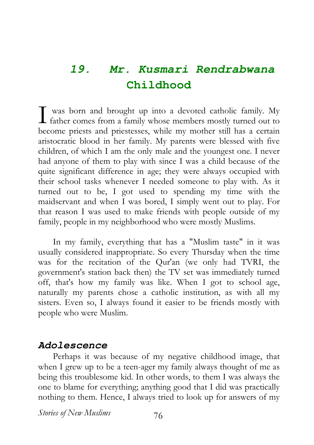# **19. Mr. Kusmari Rendrabwana Childhood**

I was born and brought up into a devoted catholic family. My father comes from a family whose members mostly turned out to become prior to and prior tessores while my mother still because a certain father comes from a family whose members mostly turned out to become priests and priestesses, while my mother still has a certain aristocratic blood in her family. My parents were blessed with five children, of which I am the only male and the youngest one. I never had anyone of them to play with since I was a child because of the quite significant difference in age; they were always occupied with their school tasks whenever I needed someone to play with. As it turned out to be, I got used to spending my time with the maidservant and when I was bored, I simply went out to play. For that reason I was used to make friends with people outside of my family, people in my neighborhood who were mostly Muslims.

In my family, everything that has a "Muslim taste" in it was usually considered inappropriate. So every Thursday when the time was for the recitation of the Qur'an (we only had TVRI, the government's station back then) the TV set was immediately turned off, that's how my family was like. When I got to school age, naturally my parents chose a catholic institution, as with all my sisters. Even so, I always found it easier to be friends mostly with people who were Muslim.

#### **Adolescence**

Perhaps it was because of my negative childhood image, that when I grew up to be a teen-ager my family always thought of me as being this troublesome kid. In other words, to them I was always the one to blame for everything; anything good that I did was practically nothing to them. Hence, I always tried to look up for answers of my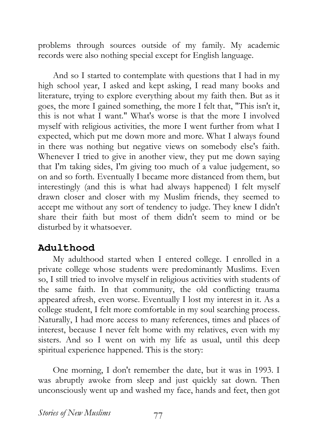problems through sources outside of my family. My academic records were also nothing special except for English language.

And so I started to contemplate with questions that I had in my high school year, I asked and kept asking, I read many books and literature, trying to explore everything about my faith then. But as it goes, the more I gained something, the more I felt that, "This isn't it, this is not what I want." What's worse is that the more I involved myself with religious activities, the more I went further from what I expected, which put me down more and more. What I always found in there was nothing but negative views on somebody else's faith. Whenever I tried to give in another view, they put me down saying that I'm taking sides, I'm giving too much of a value judgement, so on and so forth. Eventually I became more distanced from them, but interestingly (and this is what had always happened) I felt myself drawn closer and closer with my Muslim friends, they seemed to accept me without any sort of tendency to judge. They knew I didn't share their faith but most of them didn't seem to mind or be disturbed by it whatsoever.

## **Adulthood**

My adulthood started when I entered college. I enrolled in a private college whose students were predominantly Muslims. Even so, I still tried to involve myself in religious activities with students of the same faith. In that community, the old conflicting trauma appeared afresh, even worse. Eventually I lost my interest in it. As a college student, I felt more comfortable in my soul searching process. Naturally, I had more access to many references, times and places of interest, because I never felt home with my relatives, even with my sisters. And so I went on with my life as usual, until this deep spiritual experience happened. This is the story:

One morning, I don't remember the date, but it was in 1993. I was abruptly awoke from sleep and just quickly sat down. Then unconsciously went up and washed my face, hands and feet, then got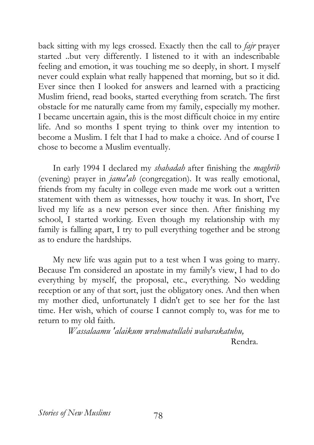back sitting with my legs crossed. Exactly then the call to fajr prayer started ..but very differently. I listened to it with an indescribable feeling and emotion, it was touching me so deeply, in short. I myself never could explain what really happened that morning, but so it did. Ever since then I looked for answers and learned with a practicing Muslim friend, read books, started everything from scratch. The first obstacle for me naturally came from my family, especially my mother. I became uncertain again, this is the most difficult choice in my entire life. And so months I spent trying to think over my intention to become a Muslim. I felt that I had to make a choice. And of course I chose to become a Muslim eventually.

In early 1994 I declared my *shahadah* after finishing the *maghrib* (evening) prayer in jama'ah (congregation). It was really emotional, friends from my faculty in college even made me work out a written statement with them as witnesses, how touchy it was. In short, I've lived my life as a new person ever since then. After finishing my school, I started working. Even though my relationship with my family is falling apart, I try to pull everything together and be strong as to endure the hardships.

My new life was again put to a test when I was going to marry. Because I'm considered an apostate in my family's view, I had to do everything by myself, the proposal, etc., everything. No wedding reception or any of that sort, just the obligatory ones. And then when my mother died, unfortunately I didn't get to see her for the last time. Her wish, which of course I cannot comply to, was for me to return to my old faith.

> Wassalaamu 'alaikum wrahmatullahi wabarakatuhu, Rendra.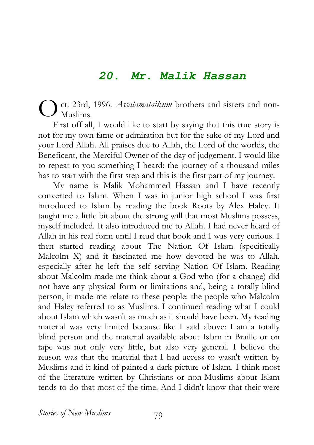## **20. Mr. Malik Hassan**

Ct. 23rd, 1996. *Assalamalaikum* brothers and sisters and non-<br>
Nuslims. Muslims.

First off all, I would like to start by saying that this true story is not for my own fame or admiration but for the sake of my Lord and your Lord Allah. All praises due to Allah, the Lord of the worlds, the Beneficent, the Merciful Owner of the day of judgement. I would like to repeat to you something I heard: the journey of a thousand miles has to start with the first step and this is the first part of my journey.

My name is Malik Mohammed Hassan and I have recently converted to Islam. When I was in junior high school I was first introduced to Islam by reading the book Roots by Alex Haley. It taught me a little bit about the strong will that most Muslims possess, myself included. It also introduced me to Allah. I had never heard of Allah in his real form until I read that book and I was very curious. I then started reading about The Nation Of Islam (specifically Malcolm X) and it fascinated me how devoted he was to Allah, especially after he left the self serving Nation Of Islam. Reading about Malcolm made me think about a God who (for a change) did not have any physical form or limitations and, being a totally blind person, it made me relate to these people: the people who Malcolm and Haley referred to as Muslims. I continued reading what I could about Islam which wasn't as much as it should have been. My reading material was very limited because like I said above: I am a totally blind person and the material available about Islam in Braille or on tape was not only very little, but also very general. I believe the reason was that the material that I had access to wasn't written by Muslims and it kind of painted a dark picture of Islam. I think most of the literature written by Christians or non-Muslims about Islam tends to do that most of the time. And I didn't know that their were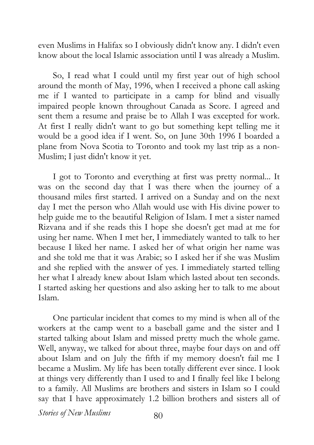even Muslims in Halifax so I obviously didn't know any. I didn't even know about the local Islamic association until I was already a Muslim.

So, I read what I could until my first year out of high school around the month of May, 1996, when I received a phone call asking me if I wanted to participate in a camp for blind and visually impaired people known throughout Canada as Score. I agreed and sent them a resume and praise be to Allah I was excepted for work. At first I really didn't want to go but something kept telling me it would be a good idea if I went. So, on June 30th 1996 I boarded a plane from Nova Scotia to Toronto and took my last trip as a non-Muslim; I just didn't know it yet.

I got to Toronto and everything at first was pretty normal... It was on the second day that I was there when the journey of a thousand miles first started. I arrived on a Sunday and on the next day I met the person who Allah would use with His divine power to help guide me to the beautiful Religion of Islam. I met a sister named Rizvana and if she reads this I hope she doesn't get mad at me for using her name. When I met her, I immediately wanted to talk to her because I liked her name. I asked her of what origin her name was and she told me that it was Arabic; so I asked her if she was Muslim and she replied with the answer of yes. I immediately started telling her what I already knew about Islam which lasted about ten seconds. I started asking her questions and also asking her to talk to me about Islam.

One particular incident that comes to my mind is when all of the workers at the camp went to a baseball game and the sister and I started talking about Islam and missed pretty much the whole game. Well, anyway, we talked for about three, maybe four days on and off about Islam and on July the fifth if my memory doesn't fail me I became a Muslim. My life has been totally different ever since. I look at things very differently than I used to and I finally feel like I belong to a family. All Muslims are brothers and sisters in Islam so I could say that I have approximately 1.2 billion brothers and sisters all of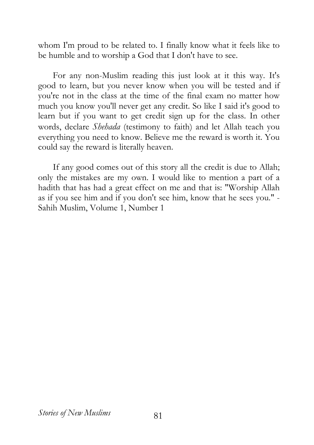whom I'm proud to be related to. I finally know what it feels like to be humble and to worship a God that I don't have to see.

For any non-Muslim reading this just look at it this way. It's good to learn, but you never know when you will be tested and if you're not in the class at the time of the final exam no matter how much you know you'll never get any credit. So like I said it's good to learn but if you want to get credit sign up for the class. In other words, declare Shehada (testimony to faith) and let Allah teach you everything you need to know. Believe me the reward is worth it. You could say the reward is literally heaven.

If any good comes out of this story all the credit is due to Allah; only the mistakes are my own. I would like to mention a part of a hadith that has had a great effect on me and that is: "Worship Allah as if you see him and if you don't see him, know that he sees you." - Sahih Muslim, Volume 1, Number 1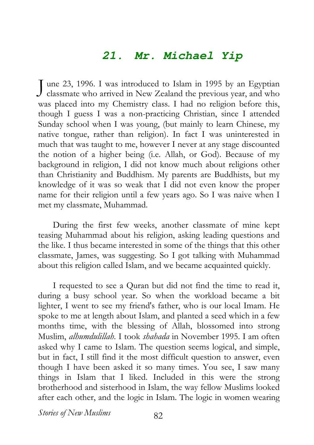#### **21. Mr. Michael Yip**

I une 23, 1996. I was introduced to Islam in 1995 by an Egyptian J une 23, 1996. I was introduced to Islam in 1995 by an Egyptian classmate who arrived in New Zealand the previous year, and who was placed into my Chemistry class. I had no religion before this, though I guess I was a non-practicing Christian, since I attended Sunday school when I was young, (but mainly to learn Chinese, my native tongue, rather than religion). In fact I was uninterested in much that was taught to me, however I never at any stage discounted the notion of a higher being (i.e. Allah, or God). Because of my background in religion, I did not know much about religions other than Christianity and Buddhism. My parents are Buddhists, but my knowledge of it was so weak that I did not even know the proper name for their religion until a few years ago. So I was naive when I met my classmate, Muhammad.

During the first few weeks, another classmate of mine kept teasing Muhammad about his religion, asking leading questions and the like. I thus became interested in some of the things that this other classmate, James, was suggesting. So I got talking with Muhammad about this religion called Islam, and we became acquainted quickly.

I requested to see a Quran but did not find the time to read it, during a busy school year. So when the workload became a bit lighter, I went to see my friend's father, who is our local Imam. He spoke to me at length about Islam, and planted a seed which in a few months time, with the blessing of Allah, blossomed into strong Muslim, alhumdulillah. I took shahada in November 1995. I am often asked why I came to Islam. The question seems logical, and simple, but in fact, I still find it the most difficult question to answer, even though I have been asked it so many times. You see, I saw many things in Islam that I liked. Included in this were the strong brotherhood and sisterhood in Islam, the way fellow Muslims looked after each other, and the logic in Islam. The logic in women wearing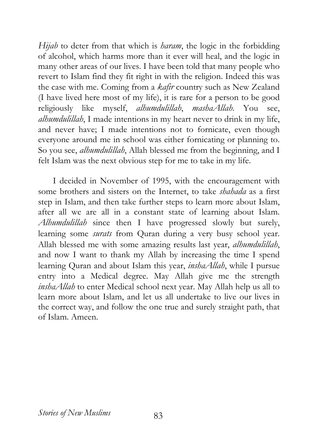Hijab to deter from that which is *haram*, the logic in the forbidding of alcohol, which harms more than it ever will heal, and the logic in many other areas of our lives. I have been told that many people who revert to Islam find they fit right in with the religion. Indeed this was the case with me. Coming from a *kafir* country such as New Zealand (I have lived here most of my life), it is rare for a person to be good religiously like myself, alhumdulillah, mashaAllah. You see, alhumdulillah, I made intentions in my heart never to drink in my life, and never have; I made intentions not to fornicate, even though everyone around me in school was either fornicating or planning to. So you see, *alhumdulillah*, Allah blessed me from the beginning, and I felt Islam was the next obvious step for me to take in my life.

I decided in November of 1995, with the encouragement with some brothers and sisters on the Internet, to take *shahada* as a first step in Islam, and then take further steps to learn more about Islam, after all we are all in a constant state of learning about Islam. Alhumdulillah since then I have progressed slowly but surely, learning some *surats* from Quran during a very busy school year. Allah blessed me with some amazing results last year, alhumdulillah, and now I want to thank my Allah by increasing the time I spend learning Quran and about Islam this year, *inshaAllah*, while I pursue entry into a Medical degree. May Allah give me the strength inshaAllah to enter Medical school next year. May Allah help us all to learn more about Islam, and let us all undertake to live our lives in the correct way, and follow the one true and surely straight path, that of Islam. Ameen.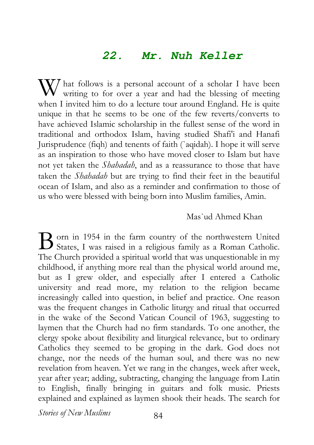#### **22. Mr. Nuh Keller**

W hat follows is a personal account of a scholar I have been<br>writing to for over a year and had the blessing of meeting writing to for over a year and had the blessing of meeting when I invited him to do a lecture tour around England. He is quite unique in that he seems to be one of the few reverts/converts to have achieved Islamic scholarship in the fullest sense of the word in traditional and orthodox Islam, having studied Shafi'i and Hanafi Jurisprudence (fiqh) and tenents of faith (`aqidah). I hope it will serve as an inspiration to those who have moved closer to Islam but have not vet taken the *Shahadah*, and as a reassurance to those that have taken the *Shahadah* but are trying to find their feet in the beautiful ocean of Islam, and also as a reminder and confirmation to those of us who were blessed with being born into Muslim families, Amin.

#### Mas`ud Ahmed Khan

orn in 1954 in the farm country of the northwestern United B orn in 1954 in the farm country of the northwestern United<br>States, I was raised in a religious family as a Roman Catholic.<br>The Church provided a spiritual would that we use monotionable in my The Church provided a spiritual world that was unquestionable in my childhood, if anything more real than the physical world around me, but as I grew older, and especially after I entered a Catholic university and read more, my relation to the religion became increasingly called into question, in belief and practice. One reason was the frequent changes in Catholic liturgy and ritual that occurred in the wake of the Second Vatican Council of 1963, suggesting to laymen that the Church had no firm standards. To one another, the clergy spoke about flexibility and liturgical relevance, but to ordinary Catholics they seemed to be groping in the dark. God does not change, nor the needs of the human soul, and there was no new revelation from heaven. Yet we rang in the changes, week after week, year after year; adding, subtracting, changing the language from Latin to English, finally bringing in guitars and folk music. Priests explained and explained as laymen shook their heads. The search for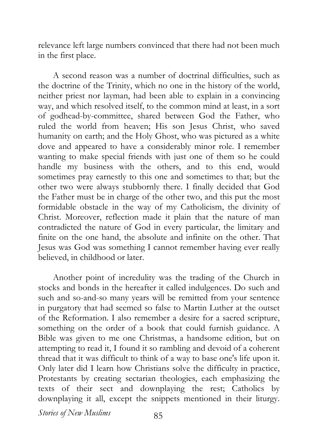relevance left large numbers convinced that there had not been much in the first place.

A second reason was a number of doctrinal difficulties, such as the doctrine of the Trinity, which no one in the history of the world, neither priest nor layman, had been able to explain in a convincing way, and which resolved itself, to the common mind at least, in a sort of godhead-by-committee, shared between God the Father, who ruled the world from heaven; His son Jesus Christ, who saved humanity on earth; and the Holy Ghost, who was pictured as a white dove and appeared to have a considerably minor role. I remember wanting to make special friends with just one of them so he could handle my business with the others, and to this end, would sometimes pray earnestly to this one and sometimes to that; but the other two were always stubbornly there. I finally decided that God the Father must be in charge of the other two, and this put the most formidable obstacle in the way of my Catholicism, the divinity of Christ. Moreover, reflection made it plain that the nature of man contradicted the nature of God in every particular, the limitary and finite on the one hand, the absolute and infinite on the other. That Jesus was God was something I cannot remember having ever really believed, in childhood or later.

Another point of incredulity was the trading of the Church in stocks and bonds in the hereafter it called indulgences. Do such and such and so-and-so many years will be remitted from your sentence in purgatory that had seemed so false to Martin Luther at the outset of the Reformation. I also remember a desire for a sacred scripture, something on the order of a book that could furnish guidance. A Bible was given to me one Christmas, a handsome edition, but on attempting to read it, I found it so rambling and devoid of a coherent thread that it was difficult to think of a way to base one's life upon it. Only later did I learn how Christians solve the difficulty in practice, Protestants by creating sectarian theologies, each emphasizing the texts of their sect and downplaying the rest; Catholics by downplaying it all, except the snippets mentioned in their liturgy.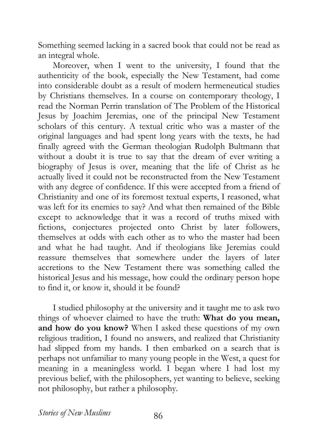Something seemed lacking in a sacred book that could not be read as an integral whole.

Moreover, when I went to the university, I found that the authenticity of the book, especially the New Testament, had come into considerable doubt as a result of modern hermeneutical studies by Christians themselves. In a course on contemporary theology, I read the Norman Perrin translation of The Problem of the Historical Jesus by Joachim Jeremias, one of the principal New Testament scholars of this century. A textual critic who was a master of the original languages and had spent long years with the texts, he had finally agreed with the German theologian Rudolph Bultmann that without a doubt it is true to say that the dream of ever writing a biography of Jesus is over, meaning that the life of Christ as he actually lived it could not be reconstructed from the New Testament with any degree of confidence. If this were accepted from a friend of Christianity and one of its foremost textual experts, I reasoned, what was left for its enemies to say? And what then remained of the Bible except to acknowledge that it was a record of truths mixed with fictions, conjectures projected onto Christ by later followers, themselves at odds with each other as to who the master had been and what he had taught. And if theologians like Jeremias could reassure themselves that somewhere under the layers of later accretions to the New Testament there was something called the historical Jesus and his message, how could the ordinary person hope to find it, or know it, should it be found?

I studied philosophy at the university and it taught me to ask two things of whoever claimed to have the truth: What do you mean, and how do you know? When I asked these questions of my own religious tradition, I found no answers, and realized that Christianity had slipped from my hands. I then embarked on a search that is perhaps not unfamiliar to many young people in the West, a quest for meaning in a meaningless world. I began where I had lost my previous belief, with the philosophers, yet wanting to believe, seeking not philosophy, but rather a philosophy.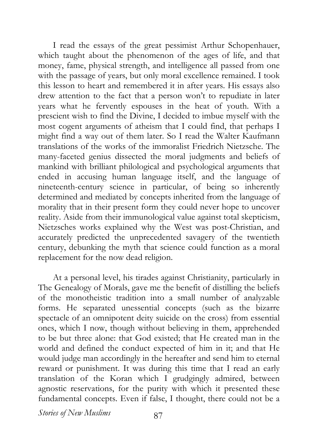I read the essays of the great pessimist Arthur Schopenhauer, which taught about the phenomenon of the ages of life, and that money, fame, physical strength, and intelligence all passed from one with the passage of years, but only moral excellence remained. I took this lesson to heart and remembered it in after years. His essays also drew attention to the fact that a person won't to repudiate in later years what he fervently espouses in the heat of youth. With a prescient wish to find the Divine, I decided to imbue myself with the most cogent arguments of atheism that I could find, that perhaps I might find a way out of them later. So I read the Walter Kaufmann translations of the works of the immoralist Friedrich Nietzsche. The many-faceted genius dissected the moral judgments and beliefs of mankind with brilliant philological and psychological arguments that ended in accusing human language itself, and the language of nineteenth-century science in particular, of being so inherently determined and mediated by concepts inherited from the language of morality that in their present form they could never hope to uncover reality. Aside from their immunological value against total skepticism, Nietzsches works explained why the West was post-Christian, and accurately predicted the unprecedented savagery of the twentieth century, debunking the myth that science could function as a moral replacement for the now dead religion.

At a personal level, his tirades against Christianity, particularly in The Genealogy of Morals, gave me the benefit of distilling the beliefs of the monotheistic tradition into a small number of analyzable forms. He separated unessential concepts (such as the bizarre spectacle of an omnipotent deity suicide on the cross) from essential ones, which I now, though without believing in them, apprehended to be but three alone: that God existed; that He created man in the world and defined the conduct expected of him in it; and that He would judge man accordingly in the hereafter and send him to eternal reward or punishment. It was during this time that I read an early translation of the Koran which I grudgingly admired, between agnostic reservations, for the purity with which it presented these fundamental concepts. Even if false, I thought, there could not be a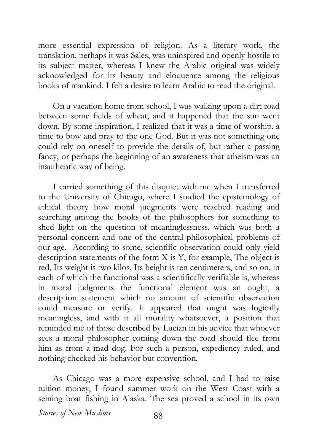more essential expression of religion. As a literary work, the translation, perhaps it was Sales, was uninspired and openly hostile to its subject matter, whereas I knew the Arabic original was widely acknowledged for its beauty and eloquence among the religious books of mankind. I felt a desire to learn Arabic to read the original.

On a vacation home from school, I was walking upon a dirt road between some fields of wheat, and it happened that the sun went down. By some inspiration, I realized that it was a time of worship, a time to bow and pray to the one God. But it was not something one could rely on oneself to provide the details of, but rather a passing fancy, or perhaps the beginning of an awareness that atheism was an inauthentic way of being.

I carried something of this disquiet with me when I transferred to the University of Chicago, where I studied the epistemology of ethical theory how moral judgments were reached reading and searching among the books of the philosophers for something to shed light on the question of meaninglessness, which was both a personal concern and one of the central philosophical problems of our age. According to some, scientific observation could only yield description statements of the form X is Y, for example, The object is red, Its weight is two kilos, Its height is ten centimeters, and so on, in each of which the functional was a scientifically verifiable is, whereas in moral judgments the functional element was an ought, a description statement which no amount of scientific observation could measure or verify. It appeared that ought was logically meaningless, and with it all morality whatsoever, a position that reminded me of those described by Lucian in his advice that whoever sees a moral philosopher coming down the road should flee from him as from a mad dog. For such a person, expediency ruled, and nothing checked his behavior but convention.

As Chicago was a more expensive school, and I had to raise tuition money, I found summer work on the West Coast with a seining boat fishing in Alaska. The sea proved a school in its own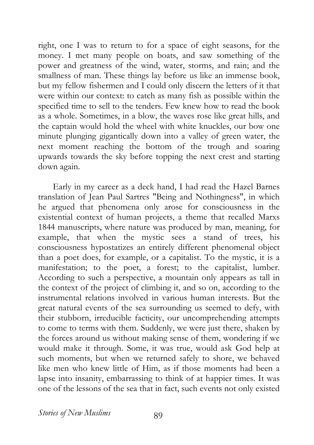right, one I was to return to for a space of eight seasons, for the money. I met many people on boats, and saw something of the power and greatness of the wind, water, storms, and rain; and the smallness of man. These things lay before us like an immense book, but my fellow fishermen and I could only discern the letters of it that were within our context: to catch as many fish as possible within the specified time to sell to the tenders. Few knew how to read the book as a whole. Sometimes, in a blow, the waves rose like great hills, and the captain would hold the wheel with white knuckles, our bow one minute plunging gigantically down into a valley of green water, the next moment reaching the bottom of the trough and soaring upwards towards the sky before topping the next crest and starting down again.

Early in my career as a deck hand, I had read the Hazel Barnes translation of Jean Paul Sartres "Being and Nothingness", in which he argued that phenomena only arose for consciousness in the existential context of human projects, a theme that recalled Marxs 1844 manuscripts, where nature was produced by man, meaning, for example, that when the mystic sees a stand of trees, his consciousness hypostatizes an entirely different phenomenal object than a poet does, for example, or a capitalist. To the mystic, it is a manifestation; to the poet, a forest; to the capitalist, lumber. According to such a perspective, a mountain only appears as tall in the context of the project of climbing it, and so on, according to the instrumental relations involved in various human interests. But the great natural events of the sea surrounding us seemed to defy, with their stubborn, irreducible facticity, our uncomprehending attempts to come to terms with them. Suddenly, we were just there, shaken by the forces around us without making sense of them, wondering if we would make it through. Some, it was true, would ask God help at such moments, but when we returned safely to shore, we behaved like men who knew little of Him, as if those moments had been a lapse into insanity, embarrassing to think of at happier times. It was one of the lessons of the sea that in fact, such events not only existed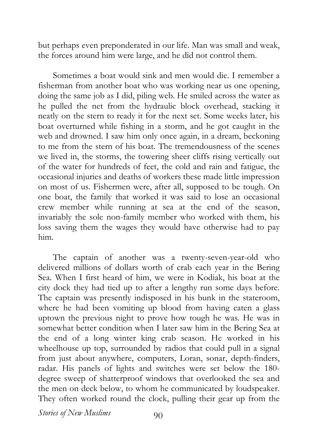but perhaps even preponderated in our life. Man was small and weak, the forces around him were large, and he did not control them.

Sometimes a boat would sink and men would die. I remember a fisherman from another boat who was working near us one opening, doing the same job as I did, piling web. He smiled across the water as he pulled the net from the hydraulic block overhead, stacking it neatly on the stern to ready it for the next set. Some weeks later, his boat overturned while fishing in a storm, and he got caught in the web and drowned. I saw him only once again, in a dream, beckoning to me from the stern of his boat. The tremendousness of the scenes we lived in, the storms, the towering sheer cliffs rising vertically out of the water for hundreds of feet, the cold and rain and fatigue, the occasional injuries and deaths of workers these made little impression on most of us. Fishermen were, after all, supposed to be tough. On one boat, the family that worked it was said to lose an occasional crew member while running at sea at the end of the season, invariably the sole non-family member who worked with them, his loss saving them the wages they would have otherwise had to pay him.

The captain of another was a twenty-seven-year-old who delivered millions of dollars worth of crab each year in the Bering Sea. When I first heard of him, we were in Kodiak, his boat at the city dock they had tied up to after a lengthy run some days before. The captain was presently indisposed in his bunk in the stateroom, where he had been vomiting up blood from having eaten a glass uptown the previous night to prove how tough he was. He was in somewhat better condition when I later saw him in the Bering Sea at the end of a long winter king crab season. He worked in his wheelhouse up top, surrounded by radios that could pull in a signal from just about anywhere, computers, Loran, sonar, depth-finders, radar. His panels of lights and switches were set below the 180 degree sweep of shatterproof windows that overlooked the sea and the men on deck below, to whom he communicated by loudspeaker. They often worked round the clock, pulling their gear up from the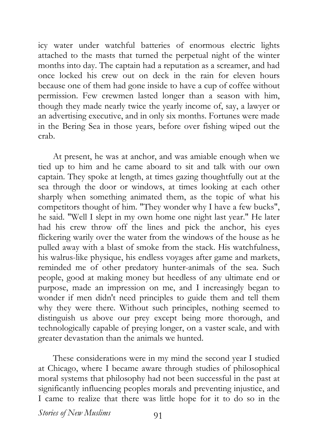icy water under watchful batteries of enormous electric lights attached to the masts that turned the perpetual night of the winter months into day. The captain had a reputation as a screamer, and had once locked his crew out on deck in the rain for eleven hours because one of them had gone inside to have a cup of coffee without permission. Few crewmen lasted longer than a season with him, though they made nearly twice the yearly income of, say, a lawyer or an advertising executive, and in only six months. Fortunes were made in the Bering Sea in those years, before over fishing wiped out the crab.

At present, he was at anchor, and was amiable enough when we tied up to him and he came aboard to sit and talk with our own captain. They spoke at length, at times gazing thoughtfully out at the sea through the door or windows, at times looking at each other sharply when something animated them, as the topic of what his competitors thought of him. "They wonder why I have a few bucks", he said. "Well I slept in my own home one night last year." He later had his crew throw off the lines and pick the anchor, his eyes flickering warily over the water from the windows of the house as he pulled away with a blast of smoke from the stack. His watchfulness, his walrus-like physique, his endless voyages after game and markets, reminded me of other predatory hunter-animals of the sea. Such people, good at making money but heedless of any ultimate end or purpose, made an impression on me, and I increasingly began to wonder if men didn't need principles to guide them and tell them why they were there. Without such principles, nothing seemed to distinguish us above our prey except being more thorough, and technologically capable of preying longer, on a vaster scale, and with greater devastation than the animals we hunted.

These considerations were in my mind the second year I studied at Chicago, where I became aware through studies of philosophical moral systems that philosophy had not been successful in the past at significantly influencing peoples morals and preventing injustice, and I came to realize that there was little hope for it to do so in the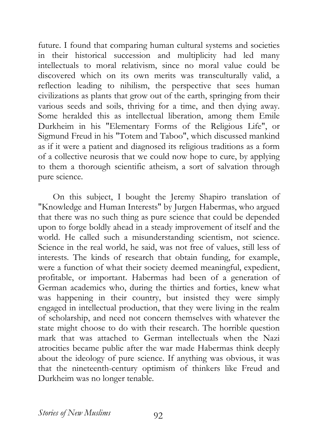future. I found that comparing human cultural systems and societies in their historical succession and multiplicity had led many intellectuals to moral relativism, since no moral value could be discovered which on its own merits was transculturally valid, a reflection leading to nihilism, the perspective that sees human civilizations as plants that grow out of the earth, springing from their various seeds and soils, thriving for a time, and then dying away. Some heralded this as intellectual liberation, among them Emile Durkheim in his "Elementary Forms of the Religious Life", or Sigmund Freud in his "Totem and Taboo", which discussed mankind as if it were a patient and diagnosed its religious traditions as a form of a collective neurosis that we could now hope to cure, by applying to them a thorough scientific atheism, a sort of salvation through pure science.

On this subject, I bought the Jeremy Shapiro translation of "Knowledge and Human Interests" by Jurgen Habermas, who argued that there was no such thing as pure science that could be depended upon to forge boldly ahead in a steady improvement of itself and the world. He called such a misunderstanding scientism, not science. Science in the real world, he said, was not free of values, still less of interests. The kinds of research that obtain funding, for example, were a function of what their society deemed meaningful, expedient, profitable, or important. Habermas had been of a generation of German academics who, during the thirties and forties, knew what was happening in their country, but insisted they were simply engaged in intellectual production, that they were living in the realm of scholarship, and need not concern themselves with whatever the state might choose to do with their research. The horrible question mark that was attached to German intellectuals when the Nazi atrocities became public after the war made Habermas think deeply about the ideology of pure science. If anything was obvious, it was that the nineteenth-century optimism of thinkers like Freud and Durkheim was no longer tenable.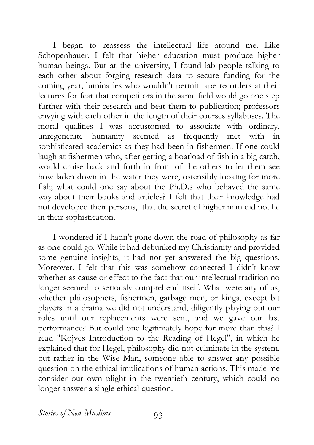I began to reassess the intellectual life around me. Like Schopenhauer, I felt that higher education must produce higher human beings. But at the university, I found lab people talking to each other about forging research data to secure funding for the coming year; luminaries who wouldn't permit tape recorders at their lectures for fear that competitors in the same field would go one step further with their research and beat them to publication; professors envying with each other in the length of their courses syllabuses. The moral qualities I was accustomed to associate with ordinary, unregenerate humanity seemed as frequently met with in sophisticated academics as they had been in fishermen. If one could laugh at fishermen who, after getting a boatload of fish in a big catch, would cruise back and forth in front of the others to let them see how laden down in the water they were, ostensibly looking for more fish; what could one say about the Ph.D.s who behaved the same way about their books and articles? I felt that their knowledge had not developed their persons, that the secret of higher man did not lie in their sophistication.

I wondered if I hadn't gone down the road of philosophy as far as one could go. While it had debunked my Christianity and provided some genuine insights, it had not yet answered the big questions. Moreover, I felt that this was somehow connected I didn't know whether as cause or effect to the fact that our intellectual tradition no longer seemed to seriously comprehend itself. What were any of us, whether philosophers, fishermen, garbage men, or kings, except bit players in a drama we did not understand, diligently playing out our roles until our replacements were sent, and we gave our last performance? But could one legitimately hope for more than this? I read "Kojves Introduction to the Reading of Hegel", in which he explained that for Hegel, philosophy did not culminate in the system, but rather in the Wise Man, someone able to answer any possible question on the ethical implications of human actions. This made me consider our own plight in the twentieth century, which could no longer answer a single ethical question.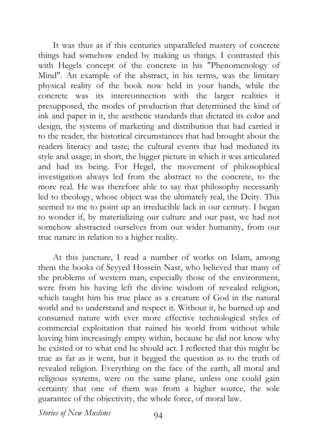It was thus as if this centuries unparalleled mastery of concrete things had somehow ended by making us things. I contrasted this with Hegels concept of the concrete in his "Phenomenology of Mind". An example of the abstract, in his terms, was the limitary physical reality of the book now held in your hands, while the concrete was its interconnection with the larger realities it presupposed, the modes of production that determined the kind of ink and paper in it, the aesthetic standards that dictated its color and design, the systems of marketing and distribution that had carried it to the reader, the historical circumstances that had brought about the readers literacy and taste; the cultural events that had mediated its style and usage; in short, the bigger picture in which it was articulated and had its being. For Hegel, the movement of philosophical investigation always led from the abstract to the concrete, to the more real. He was therefore able to say that philosophy necessarily led to theology, whose object was the ultimately real, the Deity. This seemed to me to point up an irreducible lack in our century. I began to wonder if, by materializing our culture and our past, we had not somehow abstracted ourselves from our wider humanity, from our true nature in relation to a higher reality.

At this juncture, I read a number of works on Islam, among them the books of Seyyed Hossein Nasr, who believed that many of the problems of western man, especially those of the environment, were from his having left the divine wisdom of revealed religion, which taught him his true place as a creature of God in the natural world and to understand and respect it. Without it, he burned up and consumed nature with ever more effective technological styles of commercial exploitation that ruined his world from without while leaving him increasingly empty within, because he did not know why he existed or to what end he should act. I reflected that this might be true as far as it went, but it begged the question as to the truth of revealed religion. Everything on the face of the earth, all moral and religious systems, were on the same plane, unless one could gain certainty that one of them was from a higher source, the sole guarantee of the objectivity, the whole force, of moral law.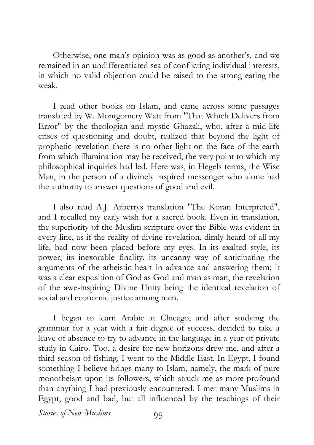Otherwise, one man's opinion was as good as another's, and we remained in an undifferentiated sea of conflicting individual interests, in which no valid objection could be raised to the strong eating the weak.

I read other books on Islam, and came across some passages translated by W. Montgomery Watt from "That Which Delivers from Error" by the theologian and mystic Ghazali, who, after a mid-life crises of questioning and doubt, realized that beyond the light of prophetic revelation there is no other light on the face of the earth from which illumination may be received, the very point to which my philosophical inquiries had led. Here was, in Hegels terms, the Wise Man, in the person of a divinely inspired messenger who alone had the authority to answer questions of good and evil.

I also read A.J. Arberrys translation "The Koran Interpreted", and I recalled my early wish for a sacred book. Even in translation, the superiority of the Muslim scripture over the Bible was evident in every line, as if the reality of divine revelation, dimly heard of all my life, had now been placed before my eyes. In its exalted style, its power, its inexorable finality, its uncanny way of anticipating the arguments of the atheistic heart in advance and answering them; it was a clear exposition of God as God and man as man, the revelation of the awe-inspiring Divine Unity being the identical revelation of social and economic justice among men.

I began to learn Arabic at Chicago, and after studying the grammar for a year with a fair degree of success, decided to take a leave of absence to try to advance in the language in a year of private study in Cairo. Too, a desire for new horizons drew me, and after a third season of fishing, I went to the Middle East. In Egypt, I found something I believe brings many to Islam, namely, the mark of pure monotheism upon its followers, which struck me as more profound than anything I had previously encountered. I met many Muslims in Egypt, good and bad, but all influenced by the teachings of their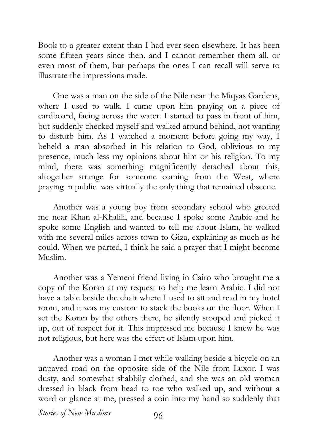Book to a greater extent than I had ever seen elsewhere. It has been some fifteen years since then, and I cannot remember them all, or even most of them, but perhaps the ones I can recall will serve to illustrate the impressions made.

One was a man on the side of the Nile near the Miqyas Gardens, where I used to walk. I came upon him praying on a piece of cardboard, facing across the water. I started to pass in front of him, but suddenly checked myself and walked around behind, not wanting to disturb him. As I watched a moment before going my way, I beheld a man absorbed in his relation to God, oblivious to my presence, much less my opinions about him or his religion. To my mind, there was something magnificently detached about this, altogether strange for someone coming from the West, where praying in public was virtually the only thing that remained obscene.

Another was a young boy from secondary school who greeted me near Khan al-Khalili, and because I spoke some Arabic and he spoke some English and wanted to tell me about Islam, he walked with me several miles across town to Giza, explaining as much as he could. When we parted, I think he said a prayer that I might become Muslim.

Another was a Yemeni friend living in Cairo who brought me a copy of the Koran at my request to help me learn Arabic. I did not have a table beside the chair where I used to sit and read in my hotel room, and it was my custom to stack the books on the floor. When I set the Koran by the others there, he silently stooped and picked it up, out of respect for it. This impressed me because I knew he was not religious, but here was the effect of Islam upon him.

Another was a woman I met while walking beside a bicycle on an unpaved road on the opposite side of the Nile from Luxor. I was dusty, and somewhat shabbily clothed, and she was an old woman dressed in black from head to toe who walked up, and without a word or glance at me, pressed a coin into my hand so suddenly that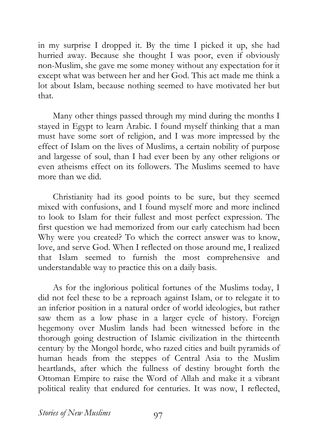in my surprise I dropped it. By the time I picked it up, she had hurried away. Because she thought I was poor, even if obviously non-Muslim, she gave me some money without any expectation for it except what was between her and her God. This act made me think a lot about Islam, because nothing seemed to have motivated her but that.

Many other things passed through my mind during the months I stayed in Egypt to learn Arabic. I found myself thinking that a man must have some sort of religion, and I was more impressed by the effect of Islam on the lives of Muslims, a certain nobility of purpose and largesse of soul, than I had ever been by any other religions or even atheisms effect on its followers. The Muslims seemed to have more than we did.

Christianity had its good points to be sure, but they seemed mixed with confusions, and I found myself more and more inclined to look to Islam for their fullest and most perfect expression. The first question we had memorized from our early catechism had been Why were you created? To which the correct answer was to know, love, and serve God. When I reflected on those around me, I realized that Islam seemed to furnish the most comprehensive and understandable way to practice this on a daily basis.

As for the inglorious political fortunes of the Muslims today, I did not feel these to be a reproach against Islam, or to relegate it to an inferior position in a natural order of world ideologies, but rather saw them as a low phase in a larger cycle of history. Foreign hegemony over Muslim lands had been witnessed before in the thorough going destruction of Islamic civilization in the thirteenth century by the Mongol horde, who razed cities and built pyramids of human heads from the steppes of Central Asia to the Muslim heartlands, after which the fullness of destiny brought forth the Ottoman Empire to raise the Word of Allah and make it a vibrant political reality that endured for centuries. It was now, I reflected,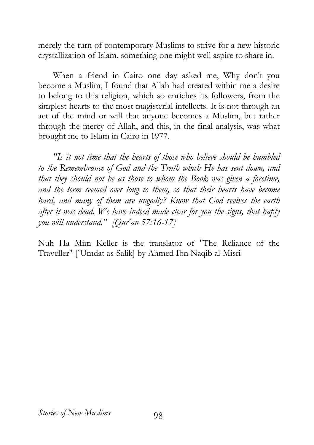merely the turn of contemporary Muslims to strive for a new historic crystallization of Islam, something one might well aspire to share in.

When a friend in Cairo one day asked me, Why don't you become a Muslim, I found that Allah had created within me a desire to belong to this religion, which so enriches its followers, from the simplest hearts to the most magisterial intellects. It is not through an act of the mind or will that anyone becomes a Muslim, but rather through the mercy of Allah, and this, in the final analysis, was what brought me to Islam in Cairo in 1977.

"Is it not time that the hearts of those who believe should be humbled to the Remembrance of God and the Truth which He has sent down, and that they should not be as those to whom the Book was given a foretime, and the term seemed over long to them, so that their hearts have become hard, and many of them are ungodly? Know that God revives the earth after it was dead. We have indeed made clear for you the signs, that haply you will understand." [Our'an 57:16-17]

Nuh Ha Mim Keller is the translator of "The Reliance of the Traveller" [`Umdat as-Salik] by Ahmed Ibn Naqib al-Misri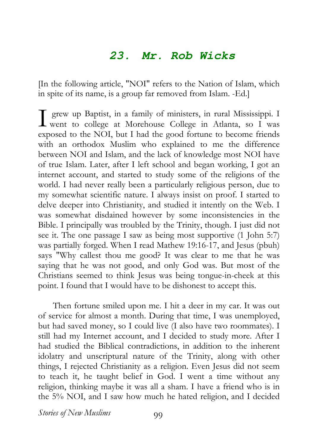#### **23. Mr. Rob Wicks**

[In the following article, "NOI" refers to the Nation of Islam, which in spite of its name, is a group far removed from Islam. -Ed.]

 grew up Baptist, in a family of ministers, in rural Mississippi. I I grew up Baptist, in a family of ministers, in rural Mississippi. I<br>went to college at Morehouse College in Atlanta, so I was exposed to the NOI, but I had the good fortune to become friends with an orthodox Muslim who explained to me the difference between NOI and Islam, and the lack of knowledge most NOI have of true Islam. Later, after I left school and began working, I got an internet account, and started to study some of the religions of the world. I had never really been a particularly religious person, due to my somewhat scientific nature. I always insist on proof. I started to delve deeper into Christianity, and studied it intently on the Web. I was somewhat disdained however by some inconsistencies in the Bible. I principally was troubled by the Trinity, though. I just did not see it. The one passage I saw as being most supportive (1 John 5:7) was partially forged. When I read Mathew 19:16-17, and Jesus (pbuh) says "Why callest thou me good? It was clear to me that he was saying that he was not good, and only God was. But most of the Christians seemed to think Jesus was being tongue-in-cheek at this point. I found that I would have to be dishonest to accept this.

Then fortune smiled upon me. I hit a deer in my car. It was out of service for almost a month. During that time, I was unemployed, but had saved money, so I could live (I also have two roommates). I still had my Internet account, and I decided to study more. After I had studied the Biblical contradictions, in addition to the inherent idolatry and unscriptural nature of the Trinity, along with other things, I rejected Christianity as a religion. Even Jesus did not seem to teach it, he taught belief in God. I went a time without any religion, thinking maybe it was all a sham. I have a friend who is in the 5% NOI, and I saw how much he hated religion, and I decided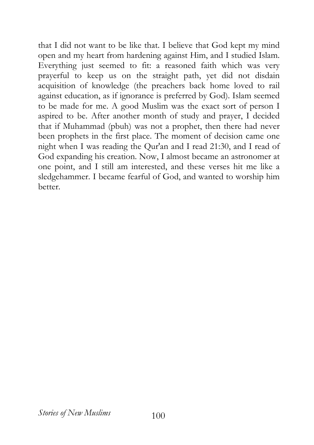that I did not want to be like that. I believe that God kept my mind open and my heart from hardening against Him, and I studied Islam. Everything just seemed to fit: a reasoned faith which was very prayerful to keep us on the straight path, yet did not disdain acquisition of knowledge (the preachers back home loved to rail against education, as if ignorance is preferred by God). Islam seemed to be made for me. A good Muslim was the exact sort of person I aspired to be. After another month of study and prayer, I decided that if Muhammad (pbuh) was not a prophet, then there had never been prophets in the first place. The moment of decision came one night when I was reading the Qur'an and I read 21:30, and I read of God expanding his creation. Now, I almost became an astronomer at one point, and I still am interested, and these verses hit me like a sledgehammer. I became fearful of God, and wanted to worship him better.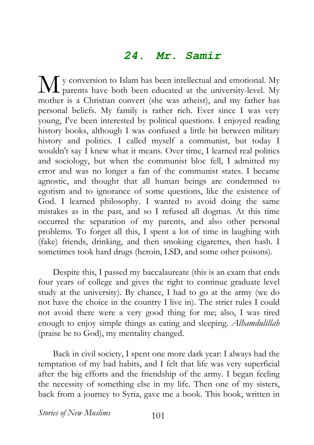### **24. Mr. Samir**

y conversion to Islam has been intellectual and emotional. My  $\mathbf{M}$  y conversion to Islam has been intellectual and emotional. My parents have both been educated at the university-level. My mother is a Christian approach (she was atheint) and my father has mother is a Christian convert (she was atheist), and my father has personal beliefs. My family is rather rich. Ever since I was very young, I've been interested by political questions. I enjoyed reading history books, although I was confused a little bit between military history and politics. I called myself a communist, but today I wouldn't say I knew what it means. Over time, I learned real politics and sociology, but when the communist bloc fell, I admitted my error and was no longer a fan of the communist states. I became agnostic, and thought that all human beings are condemned to egotism and to ignorance of some questions, like the existence of God. I learned philosophy. I wanted to avoid doing the same mistakes as in the past, and so I refused all dogmas. At this time occurred the separation of my parents, and also other personal problems. To forget all this, I spent a lot of time in laughing with (fake) friends, drinking, and then smoking cigarettes, then hash. I sometimes took hard drugs (heroin, LSD, and some other poisons).

Despite this, I passed my baccalaureate (this is an exam that ends four years of college and gives the right to continue graduate level study at the university). By chance, I had to go at the army (we do not have the choice in the country I live in). The strict rules I could not avoid there were a very good thing for me; also, I was tired enough to enjoy simple things as eating and sleeping. Alhamdulillah (praise be to God), my mentality changed.

Back in civil society, I spent one more dark year: I always had the temptation of my bad habits, and I felt that life was very superficial after the big efforts and the friendship of the army. I began feeling the necessity of something else in my life. Then one of my sisters, back from a journey to Syria, gave me a book. This book, written in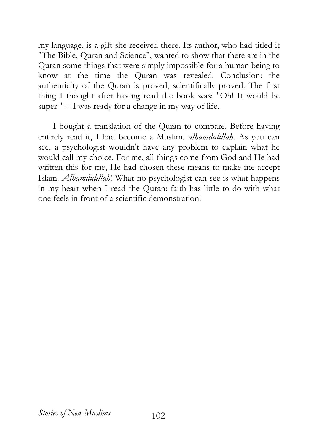my language, is a gift she received there. Its author, who had titled it "The Bible, Quran and Science", wanted to show that there are in the Quran some things that were simply impossible for a human being to know at the time the Quran was revealed. Conclusion: the authenticity of the Quran is proved, scientifically proved. The first thing I thought after having read the book was: "Oh! It would be super!" -- I was ready for a change in my way of life.

I bought a translation of the Quran to compare. Before having entirely read it, I had become a Muslim, *alhamdulillah*. As you can see, a psychologist wouldn't have any problem to explain what he would call my choice. For me, all things come from God and He had written this for me, He had chosen these means to make me accept Islam. Alhamdulillah! What no psychologist can see is what happens in my heart when I read the Quran: faith has little to do with what one feels in front of a scientific demonstration!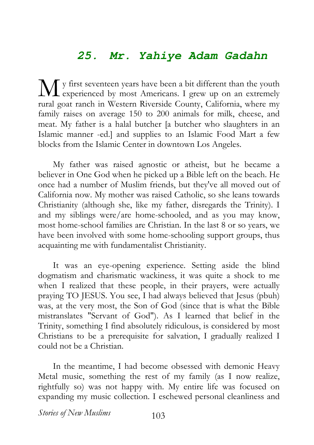# **25. Mr. Yahiye Adam Gadahn**

y first seventeen years have been a bit different than the youth  $\mathbf{M}$  y first seventeen years have been a bit different than the youth experienced by most Americans. I grew up on an extremely gravel goat graph in Wastern Birogride Gourty, Gelifornia, where any rural goat ranch in Western Riverside County, California, where my family raises on average 150 to 200 animals for milk, cheese, and meat. My father is a halal butcher [a butcher who slaughters in an Islamic manner -ed.] and supplies to an Islamic Food Mart a few blocks from the Islamic Center in downtown Los Angeles.

My father was raised agnostic or atheist, but he became a believer in One God when he picked up a Bible left on the beach. He once had a number of Muslim friends, but they've all moved out of California now. My mother was raised Catholic, so she leans towards Christianity (although she, like my father, disregards the Trinity). I and my siblings were/are home-schooled, and as you may know, most home-school families are Christian. In the last 8 or so years, we have been involved with some home-schooling support groups, thus acquainting me with fundamentalist Christianity.

It was an eye-opening experience. Setting aside the blind dogmatism and charismatic wackiness, it was quite a shock to me when I realized that these people, in their prayers, were actually praying TO JESUS. You see, I had always believed that Jesus (pbuh) was, at the very most, the Son of God (since that is what the Bible mistranslates "Servant of God"). As I learned that belief in the Trinity, something I find absolutely ridiculous, is considered by most Christians to be a prerequisite for salvation, I gradually realized I could not be a Christian.

In the meantime, I had become obsessed with demonic Heavy Metal music, something the rest of my family (as I now realize, rightfully so) was not happy with. My entire life was focused on expanding my music collection. I eschewed personal cleanliness and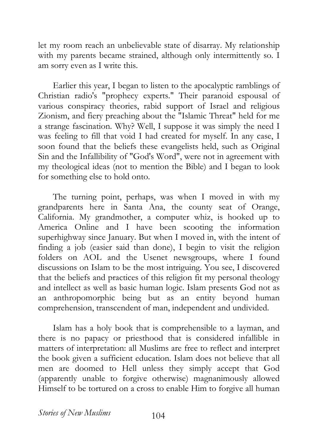let my room reach an unbelievable state of disarray. My relationship with my parents became strained, although only intermittently so. I am sorry even as I write this.

Earlier this year, I began to listen to the apocalyptic ramblings of Christian radio's "prophecy experts." Their paranoid espousal of various conspiracy theories, rabid support of Israel and religious Zionism, and fiery preaching about the "Islamic Threat" held for me a strange fascination. Why? Well, I suppose it was simply the need I was feeling to fill that void I had created for myself. In any case, I soon found that the beliefs these evangelists held, such as Original Sin and the Infallibility of "God's Word", were not in agreement with my theological ideas (not to mention the Bible) and I began to look for something else to hold onto.

The turning point, perhaps, was when I moved in with my grandparents here in Santa Ana, the county seat of Orange, California. My grandmother, a computer whiz, is hooked up to America Online and I have been scooting the information superhighway since January. But when I moved in, with the intent of finding a job (easier said than done), I begin to visit the religion folders on AOL and the Usenet newsgroups, where I found discussions on Islam to be the most intriguing. You see, I discovered that the beliefs and practices of this religion fit my personal theology and intellect as well as basic human logic. Islam presents God not as an anthropomorphic being but as an entity beyond human comprehension, transcendent of man, independent and undivided.

Islam has a holy book that is comprehensible to a layman, and there is no papacy or priesthood that is considered infallible in matters of interpretation: all Muslims are free to reflect and interpret the book given a sufficient education. Islam does not believe that all men are doomed to Hell unless they simply accept that God (apparently unable to forgive otherwise) magnanimously allowed Himself to be tortured on a cross to enable Him to forgive all human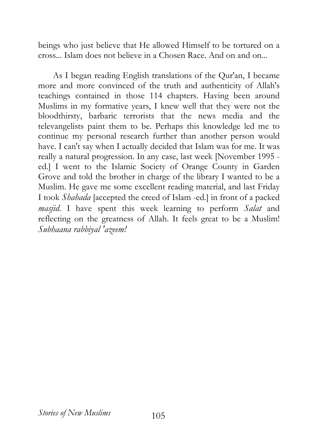beings who just believe that He allowed Himself to be tortured on a cross... Islam does not believe in a Chosen Race. And on and on...

As I began reading English translations of the Qur'an, I became more and more convinced of the truth and authenticity of Allah's teachings contained in those 114 chapters. Having been around Muslims in my formative years, I knew well that they were not the bloodthirsty, barbaric terrorists that the news media and the televangelists paint them to be. Perhaps this knowledge led me to continue my personal research further than another person would have. I can't say when I actually decided that Islam was for me. It was really a natural progression. In any case, last week [November 1995 ed.] I went to the Islamic Society of Orange County in Garden Grove and told the brother in charge of the library I wanted to be a Muslim. He gave me some excellent reading material, and last Friday I took Shahada [accepted the creed of Islam -ed.] in front of a packed masjid. I have spent this week learning to perform Salat and reflecting on the greatness of Allah. It feels great to be a Muslim! Subhaana rabbiyal 'azeem!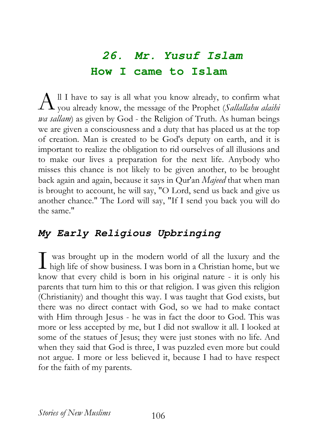# **26. Mr. Yusuf Islam How I came to Islam**

ll I have to say is all what you know already, to confirm what  $A$ <sup>Il I have to say is all what you know already, to confirm what you already know, the message of the Prophet (Sallallahu alaihi</sup> wa sallam) as given by God - the Religion of Truth. As human beings we are given a consciousness and a duty that has placed us at the top of creation. Man is created to be God's deputy on earth, and it is important to realize the obligation to rid ourselves of all illusions and to make our lives a preparation for the next life. Anybody who misses this chance is not likely to be given another, to be brought back again and again, because it says in Qur'an Majeed that when man is brought to account, he will say, "O Lord, send us back and give us another chance." The Lord will say, "If I send you back you will do the same."

## **My Early Religious Upbringing**

 was brought up in the modern world of all the luxury and the  $\prod$  was brought up in the modern world of all the luxury and the high life of show business. I was born in a Christian home, but we know that system shild is born in his original nature. It is only his know that every child is born in his original nature - it is only his parents that turn him to this or that religion. I was given this religion (Christianity) and thought this way. I was taught that God exists, but there was no direct contact with God, so we had to make contact with Him through Jesus - he was in fact the door to God. This was more or less accepted by me, but I did not swallow it all. I looked at some of the statues of Jesus; they were just stones with no life. And when they said that God is three, I was puzzled even more but could not argue. I more or less believed it, because I had to have respect for the faith of my parents.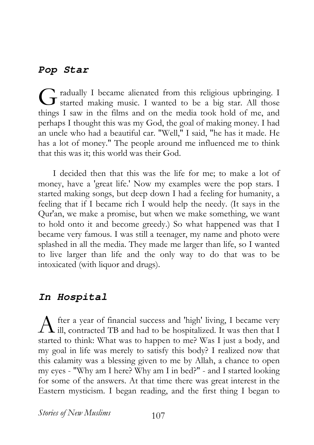#### **Pop Star**

radually I became alienated from this religious upbringing. I G radually I became alienated from this religious upbringing. I started making music. I wanted to be a big star. All those things I saw in the films and on the media took hold of me, and perhaps I thought this was my God, the goal of making money. I had an uncle who had a beautiful car. "Well," I said, "he has it made. He has a lot of money." The people around me influenced me to think that this was it; this world was their God.

I decided then that this was the life for me; to make a lot of money, have a 'great life.' Now my examples were the pop stars. I started making songs, but deep down I had a feeling for humanity, a feeling that if I became rich I would help the needy. (It says in the Qur'an, we make a promise, but when we make something, we want to hold onto it and become greedy.) So what happened was that I became very famous. I was still a teenager, my name and photo were splashed in all the media. They made me larger than life, so I wanted to live larger than life and the only way to do that was to be intoxicated (with liquor and drugs).

### **In Hospital**

 $\Lambda$  fter a year of financial success and 'high' living, I became very  $\Lambda$  fter a year of financial success and 'high' living, I became very ill, contracted TB and had to be hospitalized. It was then that I started to think: What was to happen to me? Was I just a body, and my goal in life was merely to satisfy this body? I realized now that this calamity was a blessing given to me by Allah, a chance to open my eyes - "Why am I here? Why am I in bed?" - and I started looking for some of the answers. At that time there was great interest in the Eastern mysticism. I began reading, and the first thing I began to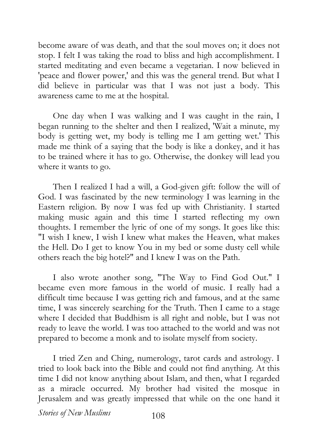become aware of was death, and that the soul moves on; it does not stop. I felt I was taking the road to bliss and high accomplishment. I started meditating and even became a vegetarian. I now believed in 'peace and flower power,' and this was the general trend. But what I did believe in particular was that I was not just a body. This awareness came to me at the hospital.

One day when I was walking and I was caught in the rain, I began running to the shelter and then I realized, 'Wait a minute, my body is getting wet, my body is telling me I am getting wet.' This made me think of a saying that the body is like a donkey, and it has to be trained where it has to go. Otherwise, the donkey will lead you where it wants to go.

Then I realized I had a will, a God-given gift: follow the will of God. I was fascinated by the new terminology I was learning in the Eastern religion. By now I was fed up with Christianity. I started making music again and this time I started reflecting my own thoughts. I remember the lyric of one of my songs. It goes like this: "I wish I knew, I wish I knew what makes the Heaven, what makes the Hell. Do I get to know You in my bed or some dusty cell while others reach the big hotel?" and I knew I was on the Path.

I also wrote another song, "The Way to Find God Out." I became even more famous in the world of music. I really had a difficult time because I was getting rich and famous, and at the same time, I was sincerely searching for the Truth. Then I came to a stage where I decided that Buddhism is all right and noble, but I was not ready to leave the world. I was too attached to the world and was not prepared to become a monk and to isolate myself from society.

I tried Zen and Ching, numerology, tarot cards and astrology. I tried to look back into the Bible and could not find anything. At this time I did not know anything about Islam, and then, what I regarded as a miracle occurred. My brother had visited the mosque in Jerusalem and was greatly impressed that while on the one hand it

Stories of New Muslims 108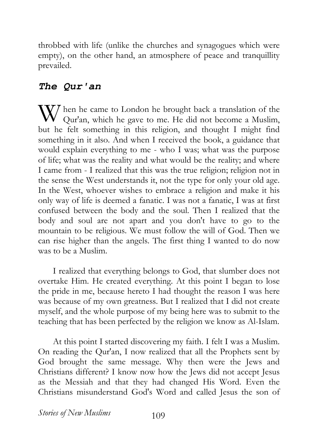throbbed with life (unlike the churches and synagogues which were empty), on the other hand, an atmosphere of peace and tranquillity prevailed.

## **The Qur'an**

W hen he came to London he brought back a translation of the Qur'an, which he gave to me. He did not become a Muslim, Qur'an, which he gave to me. He did not become a Muslim, but he felt something in this religion, and thought I might find something in it also. And when I received the book, a guidance that would explain everything to me - who I was; what was the purpose of life; what was the reality and what would be the reality; and where I came from - I realized that this was the true religion; religion not in the sense the West understands it, not the type for only your old age. In the West, whoever wishes to embrace a religion and make it his only way of life is deemed a fanatic. I was not a fanatic, I was at first confused between the body and the soul. Then I realized that the body and soul are not apart and you don't have to go to the mountain to be religious. We must follow the will of God. Then we can rise higher than the angels. The first thing I wanted to do now was to be a Muslim.

I realized that everything belongs to God, that slumber does not overtake Him. He created everything. At this point I began to lose the pride in me, because hereto I had thought the reason I was here was because of my own greatness. But I realized that I did not create myself, and the whole purpose of my being here was to submit to the teaching that has been perfected by the religion we know as Al-Islam.

At this point I started discovering my faith. I felt I was a Muslim. On reading the Qur'an, I now realized that all the Prophets sent by God brought the same message. Why then were the Jews and Christians different? I know now how the Jews did not accept Jesus as the Messiah and that they had changed His Word. Even the Christians misunderstand God's Word and called Jesus the son of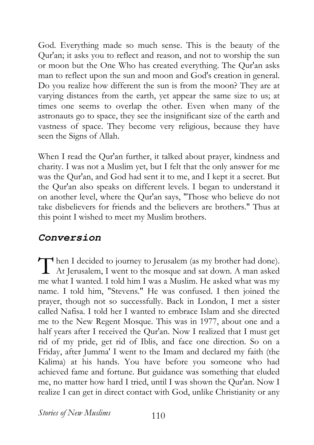God. Everything made so much sense. This is the beauty of the Qur'an; it asks you to reflect and reason, and not to worship the sun or moon but the One Who has created everything. The Qur'an asks man to reflect upon the sun and moon and God's creation in general. Do you realize how different the sun is from the moon? They are at varying distances from the earth, yet appear the same size to us; at times one seems to overlap the other. Even when many of the astronauts go to space, they see the insignificant size of the earth and vastness of space. They become very religious, because they have seen the Signs of Allah.

When I read the Qur'an further, it talked about prayer, kindness and charity. I was not a Muslim yet, but I felt that the only answer for me was the Qur'an, and God had sent it to me, and I kept it a secret. But the Qur'an also speaks on different levels. I began to understand it on another level, where the Qur'an says, "Those who believe do not take disbelievers for friends and the believers are brothers." Thus at this point I wished to meet my Muslim brothers.

### **Conversion**

Then I decided to journey to Jerusalem (as my brother had done).<br>At Jerusalem, I went to the mosque and sat down. A man asked At Jerusalem, I went to the mosque and sat down. A man asked me what I wanted. I told him I was a Muslim. He asked what was my name. I told him, "Stevens." He was confused. I then joined the prayer, though not so successfully. Back in London, I met a sister called Nafisa. I told her I wanted to embrace Islam and she directed me to the New Regent Mosque. This was in 1977, about one and a half years after I received the Qur'an. Now I realized that I must get rid of my pride, get rid of Iblis, and face one direction. So on a Friday, after Jumma' I went to the Imam and declared my faith (the Kalima) at his hands. You have before you someone who had achieved fame and fortune. But guidance was something that eluded me, no matter how hard I tried, until I was shown the Qur'an. Now I realize I can get in direct contact with God, unlike Christianity or any

Stories of New Muslims 110